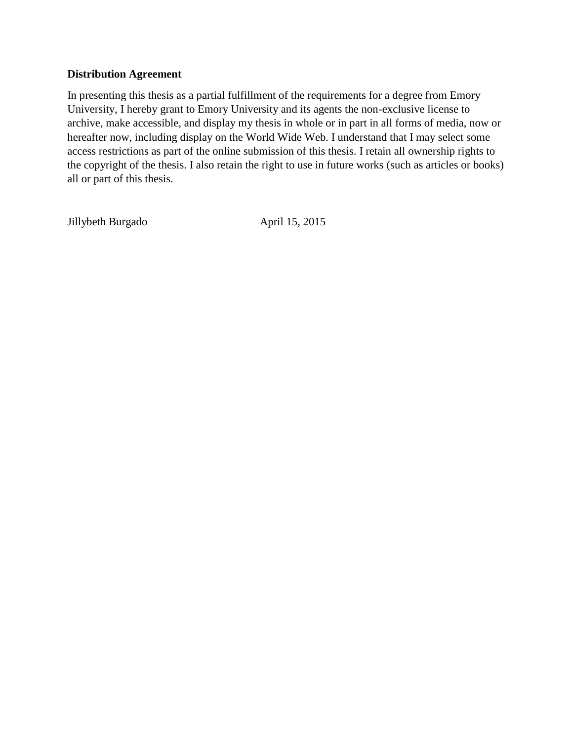## **Distribution Agreement**

In presenting this thesis as a partial fulfillment of the requirements for a degree from Emory University, I hereby grant to Emory University and its agents the non-exclusive license to archive, make accessible, and display my thesis in whole or in part in all forms of media, now or hereafter now, including display on the World Wide Web. I understand that I may select some access restrictions as part of the online submission of this thesis. I retain all ownership rights to the copyright of the thesis. I also retain the right to use in future works (such as articles or books) all or part of this thesis.

Jillybeth Burgado April 15, 2015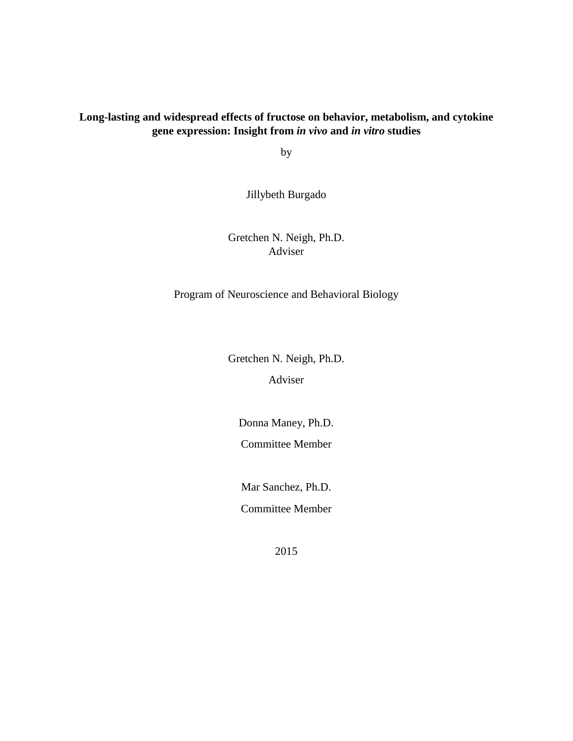# **Long-lasting and widespread effects of fructose on behavior, metabolism, and cytokine gene expression: Insight from** *in vivo* **and** *in vitro* **studies**

by

Jillybeth Burgado

Gretchen N. Neigh, Ph.D. Adviser

Program of Neuroscience and Behavioral Biology

Gretchen N. Neigh, Ph.D.

Adviser

Donna Maney, Ph.D. Committee Member

Mar Sanchez, Ph.D. Committee Member

2015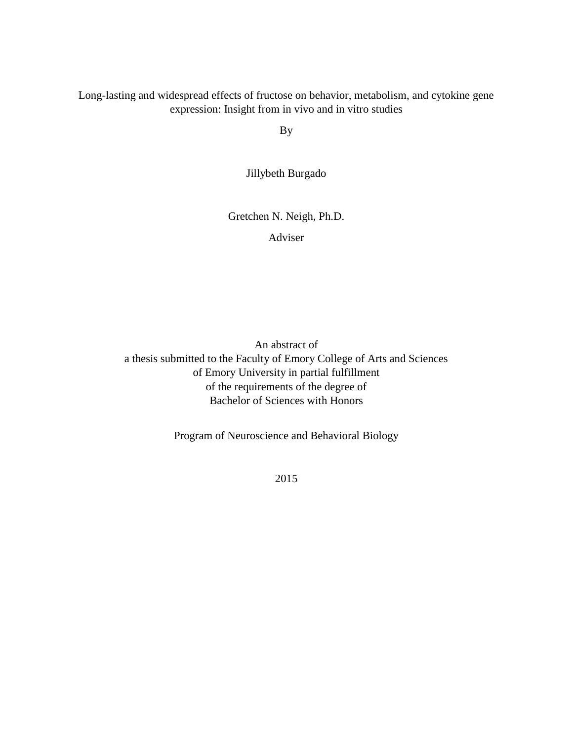Long-lasting and widespread effects of fructose on behavior, metabolism, and cytokine gene expression: Insight from in vivo and in vitro studies

By

Jillybeth Burgado

Gretchen N. Neigh, Ph.D.

Adviser

An abstract of a thesis submitted to the Faculty of Emory College of Arts and Sciences of Emory University in partial fulfillment of the requirements of the degree of Bachelor of Sciences with Honors

Program of Neuroscience and Behavioral Biology

2015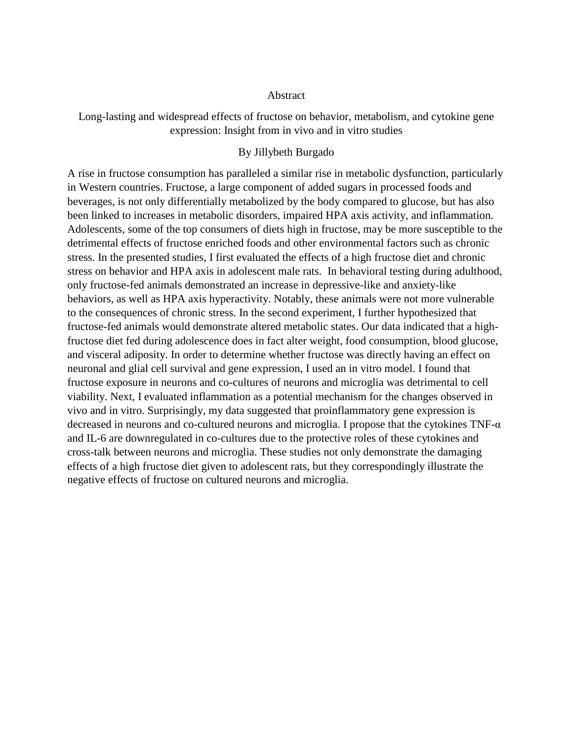## Abstract

Long-lasting and widespread effects of fructose on behavior, metabolism, and cytokine gene expression: Insight from in vivo and in vitro studies

## By Jillybeth Burgado

A rise in fructose consumption has paralleled a similar rise in metabolic dysfunction, particularly in Western countries. Fructose, a large component of added sugars in processed foods and beverages, is not only differentially metabolized by the body compared to glucose, but has also been linked to increases in metabolic disorders, impaired HPA axis activity, and inflammation. Adolescents, some of the top consumers of diets high in fructose, may be more susceptible to the detrimental effects of fructose enriched foods and other environmental factors such as chronic stress. In the presented studies, I first evaluated the effects of a high fructose diet and chronic stress on behavior and HPA axis in adolescent male rats. In behavioral testing during adulthood, only fructose-fed animals demonstrated an increase in depressive-like and anxiety-like behaviors, as well as HPA axis hyperactivity. Notably, these animals were not more vulnerable to the consequences of chronic stress. In the second experiment, I further hypothesized that fructose-fed animals would demonstrate altered metabolic states. Our data indicated that a highfructose diet fed during adolescence does in fact alter weight, food consumption, blood glucose, and visceral adiposity. In order to determine whether fructose was directly having an effect on neuronal and glial cell survival and gene expression, I used an in vitro model. I found that fructose exposure in neurons and co-cultures of neurons and microglia was detrimental to cell viability. Next, I evaluated inflammation as a potential mechanism for the changes observed in vivo and in vitro. Surprisingly, my data suggested that proinflammatory gene expression is decreased in neurons and co-cultured neurons and microglia. I propose that the cytokines  $TNF-\alpha$ and IL-6 are downregulated in co-cultures due to the protective roles of these cytokines and cross-talk between neurons and microglia. These studies not only demonstrate the damaging effects of a high fructose diet given to adolescent rats, but they correspondingly illustrate the negative effects of fructose on cultured neurons and microglia.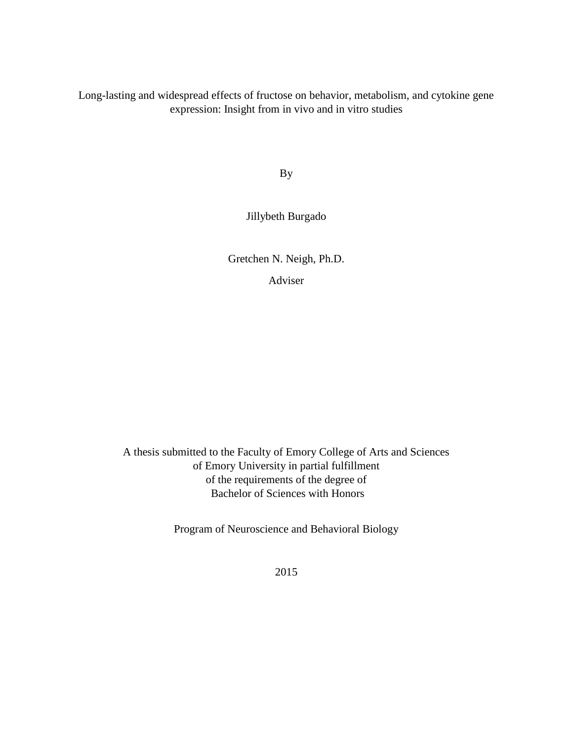Long-lasting and widespread effects of fructose on behavior, metabolism, and cytokine gene expression: Insight from in vivo and in vitro studies

By

Jillybeth Burgado

Gretchen N. Neigh, Ph.D.

Adviser

A thesis submitted to the Faculty of Emory College of Arts and Sciences of Emory University in partial fulfillment of the requirements of the degree of Bachelor of Sciences with Honors

Program of Neuroscience and Behavioral Biology

2015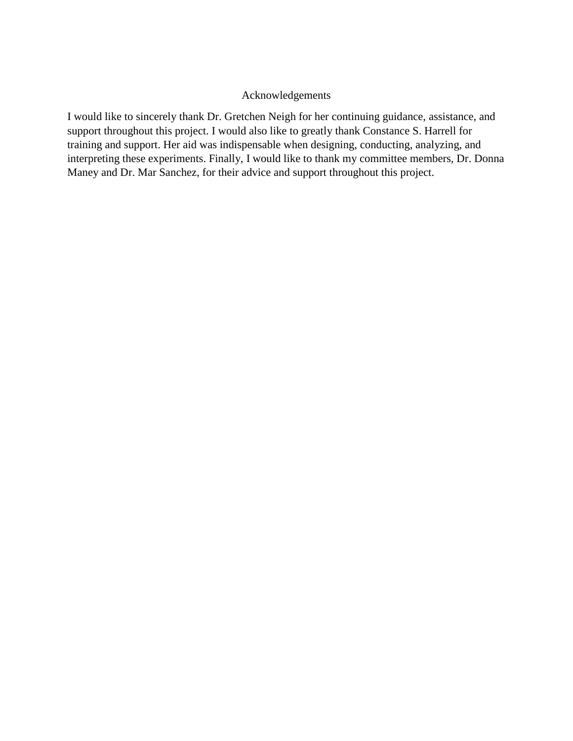## Acknowledgements

I would like to sincerely thank Dr. Gretchen Neigh for her continuing guidance, assistance, and support throughout this project. I would also like to greatly thank Constance S. Harrell for training and support. Her aid was indispensable when designing, conducting, analyzing, and interpreting these experiments. Finally, I would like to thank my committee members, Dr. Donna Maney and Dr. Mar Sanchez, for their advice and support throughout this project.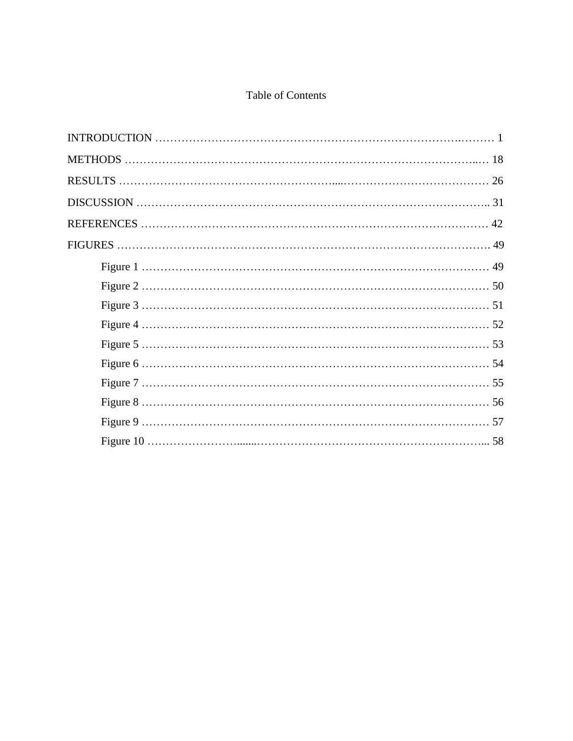# Table of Contents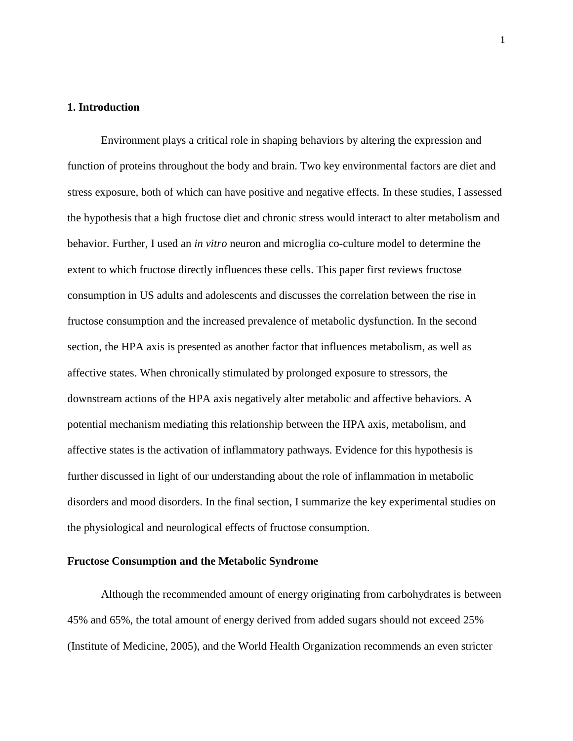## **1. Introduction**

Environment plays a critical role in shaping behaviors by altering the expression and function of proteins throughout the body and brain. Two key environmental factors are diet and stress exposure, both of which can have positive and negative effects. In these studies, I assessed the hypothesis that a high fructose diet and chronic stress would interact to alter metabolism and behavior. Further, I used an *in vitro* neuron and microglia co-culture model to determine the extent to which fructose directly influences these cells. This paper first reviews fructose consumption in US adults and adolescents and discusses the correlation between the rise in fructose consumption and the increased prevalence of metabolic dysfunction. In the second section, the HPA axis is presented as another factor that influences metabolism, as well as affective states. When chronically stimulated by prolonged exposure to stressors, the downstream actions of the HPA axis negatively alter metabolic and affective behaviors. A potential mechanism mediating this relationship between the HPA axis, metabolism, and affective states is the activation of inflammatory pathways. Evidence for this hypothesis is further discussed in light of our understanding about the role of inflammation in metabolic disorders and mood disorders. In the final section, I summarize the key experimental studies on the physiological and neurological effects of fructose consumption.

## **Fructose Consumption and the Metabolic Syndrome**

Although the recommended amount of energy originating from carbohydrates is between 45% and 65%, the total amount of energy derived from added sugars should not exceed 25% (Institute of Medicine, 2005), and the World Health Organization recommends an even stricter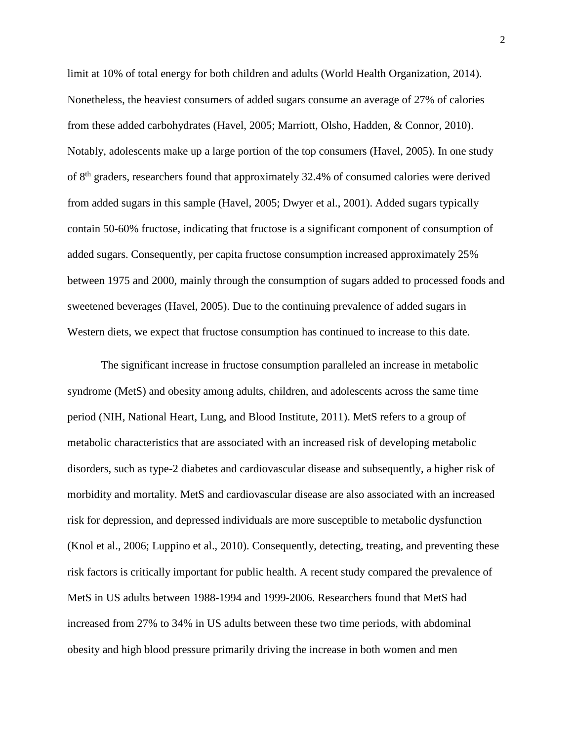limit at 10% of total energy for both children and adults (World Health Organization, 2014). Nonetheless, the heaviest consumers of added sugars consume an average of 27% of calories from these added carbohydrates (Havel, 2005; Marriott, Olsho, Hadden, & Connor, 2010). Notably, adolescents make up a large portion of the top consumers (Havel, 2005). In one study of 8th graders, researchers found that approximately 32.4% of consumed calories were derived from added sugars in this sample (Havel, 2005; Dwyer et al., 2001). Added sugars typically contain 50-60% fructose, indicating that fructose is a significant component of consumption of added sugars. Consequently, per capita fructose consumption increased approximately 25% between 1975 and 2000, mainly through the consumption of sugars added to processed foods and sweetened beverages (Havel, 2005). Due to the continuing prevalence of added sugars in Western diets, we expect that fructose consumption has continued to increase to this date.

The significant increase in fructose consumption paralleled an increase in metabolic syndrome (MetS) and obesity among adults, children, and adolescents across the same time period (NIH, National Heart, Lung, and Blood Institute, 2011). MetS refers to a group of metabolic characteristics that are associated with an increased risk of developing metabolic disorders, such as type-2 diabetes and cardiovascular disease and subsequently, a higher risk of morbidity and mortality. MetS and cardiovascular disease are also associated with an increased risk for depression, and depressed individuals are more susceptible to metabolic dysfunction (Knol et al., 2006; Luppino et al., 2010). Consequently, detecting, treating, and preventing these risk factors is critically important for public health. A recent study compared the prevalence of MetS in US adults between 1988-1994 and 1999-2006. Researchers found that MetS had increased from 27% to 34% in US adults between these two time periods, with abdominal obesity and high blood pressure primarily driving the increase in both women and men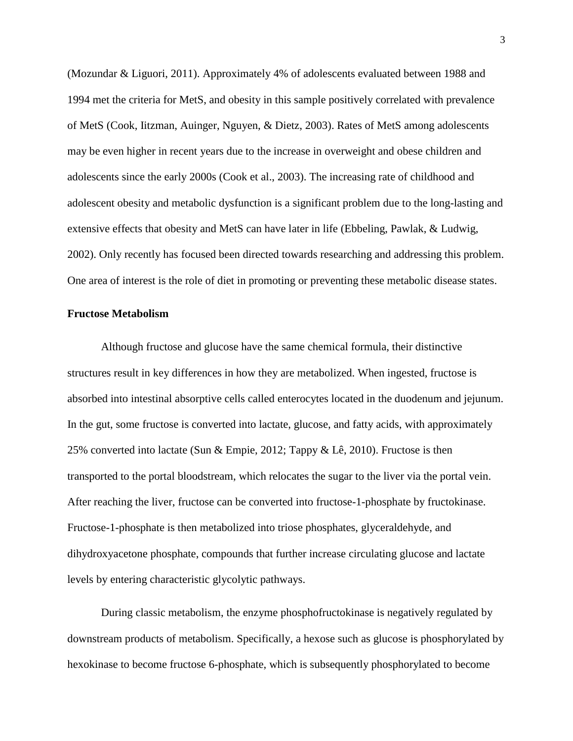(Mozundar & Liguori, 2011). Approximately 4% of adolescents evaluated between 1988 and 1994 met the criteria for MetS, and obesity in this sample positively correlated with prevalence of MetS (Cook, Iitzman, Auinger, Nguyen, & Dietz, 2003). Rates of MetS among adolescents may be even higher in recent years due to the increase in overweight and obese children and adolescents since the early 2000s (Cook et al., 2003). The increasing rate of childhood and adolescent obesity and metabolic dysfunction is a significant problem due to the long-lasting and extensive effects that obesity and MetS can have later in life (Ebbeling, Pawlak, & Ludwig, 2002). Only recently has focused been directed towards researching and addressing this problem. One area of interest is the role of diet in promoting or preventing these metabolic disease states.

#### **Fructose Metabolism**

Although fructose and glucose have the same chemical formula, their distinctive structures result in key differences in how they are metabolized. When ingested, fructose is absorbed into intestinal absorptive cells called enterocytes located in the duodenum and jejunum. In the gut, some fructose is converted into lactate, glucose, and fatty acids, with approximately 25% converted into lactate (Sun & Empie, 2012; Tappy & Lê, 2010). Fructose is then transported to the portal bloodstream, which relocates the sugar to the liver via the portal vein. After reaching the liver, fructose can be converted into fructose-1-phosphate by fructokinase. Fructose-1-phosphate is then metabolized into triose phosphates, glyceraldehyde, and dihydroxyacetone phosphate, compounds that further increase circulating glucose and lactate levels by entering characteristic glycolytic pathways.

During classic metabolism, the enzyme phosphofructokinase is negatively regulated by downstream products of metabolism. Specifically, a hexose such as glucose is phosphorylated by hexokinase to become fructose 6-phosphate, which is subsequently phosphorylated to become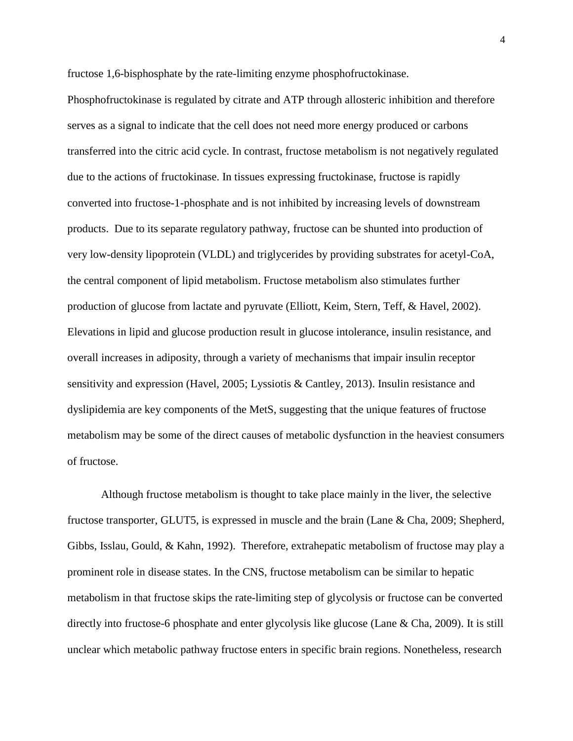fructose 1,6-bisphosphate by the rate-limiting enzyme phosphofructokinase.

Phosphofructokinase is regulated by citrate and ATP through allosteric inhibition and therefore serves as a signal to indicate that the cell does not need more energy produced or carbons transferred into the citric acid cycle. In contrast, fructose metabolism is not negatively regulated due to the actions of fructokinase. In tissues expressing fructokinase, fructose is rapidly converted into fructose-1-phosphate and is not inhibited by increasing levels of downstream products. Due to its separate regulatory pathway, fructose can be shunted into production of very low-density lipoprotein (VLDL) and triglycerides by providing substrates for acetyl-CoA, the central component of lipid metabolism. Fructose metabolism also stimulates further production of glucose from lactate and pyruvate (Elliott, Keim, Stern, Teff, & Havel, 2002). Elevations in lipid and glucose production result in glucose intolerance, insulin resistance, and overall increases in adiposity, through a variety of mechanisms that impair insulin receptor sensitivity and expression (Havel, 2005; Lyssiotis & Cantley, 2013). Insulin resistance and dyslipidemia are key components of the MetS, suggesting that the unique features of fructose metabolism may be some of the direct causes of metabolic dysfunction in the heaviest consumers of fructose.

Although fructose metabolism is thought to take place mainly in the liver, the selective fructose transporter, GLUT5, is expressed in muscle and the brain (Lane & Cha, 2009; Shepherd, Gibbs, Isslau, Gould, & Kahn, 1992). Therefore, extrahepatic metabolism of fructose may play a prominent role in disease states. In the CNS, fructose metabolism can be similar to hepatic metabolism in that fructose skips the rate-limiting step of glycolysis or fructose can be converted directly into fructose-6 phosphate and enter glycolysis like glucose (Lane & Cha, 2009). It is still unclear which metabolic pathway fructose enters in specific brain regions. Nonetheless, research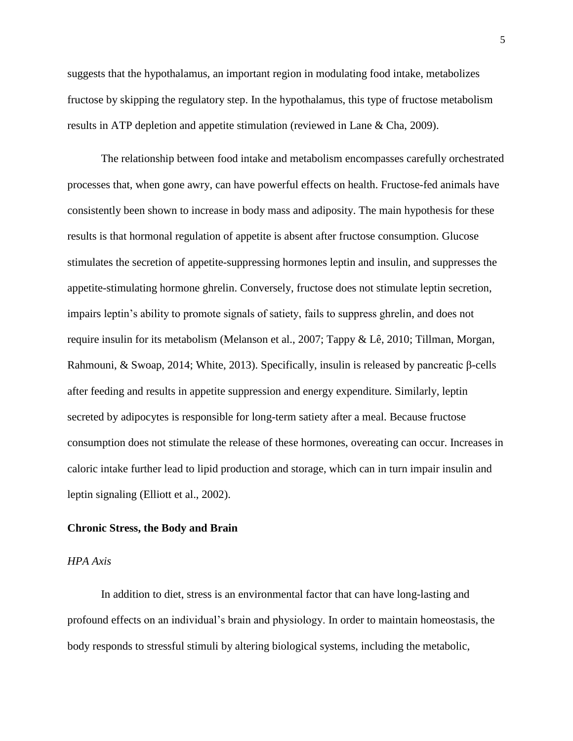suggests that the hypothalamus, an important region in modulating food intake, metabolizes fructose by skipping the regulatory step. In the hypothalamus, this type of fructose metabolism results in ATP depletion and appetite stimulation (reviewed in Lane & Cha, 2009).

The relationship between food intake and metabolism encompasses carefully orchestrated processes that, when gone awry, can have powerful effects on health. Fructose-fed animals have consistently been shown to increase in body mass and adiposity. The main hypothesis for these results is that hormonal regulation of appetite is absent after fructose consumption. Glucose stimulates the secretion of appetite-suppressing hormones leptin and insulin, and suppresses the appetite-stimulating hormone ghrelin. Conversely, fructose does not stimulate leptin secretion, impairs leptin's ability to promote signals of satiety, fails to suppress ghrelin, and does not require insulin for its metabolism (Melanson et al., 2007; Tappy & Lê, 2010; Tillman, Morgan, Rahmouni, & Swoap, 2014; White, 2013). Specifically, insulin is released by pancreatic β-cells after feeding and results in appetite suppression and energy expenditure. Similarly, leptin secreted by adipocytes is responsible for long-term satiety after a meal. Because fructose consumption does not stimulate the release of these hormones, overeating can occur. Increases in caloric intake further lead to lipid production and storage, which can in turn impair insulin and leptin signaling (Elliott et al., 2002).

#### **Chronic Stress, the Body and Brain**

## *HPA Axis*

In addition to diet, stress is an environmental factor that can have long-lasting and profound effects on an individual's brain and physiology. In order to maintain homeostasis, the body responds to stressful stimuli by altering biological systems, including the metabolic,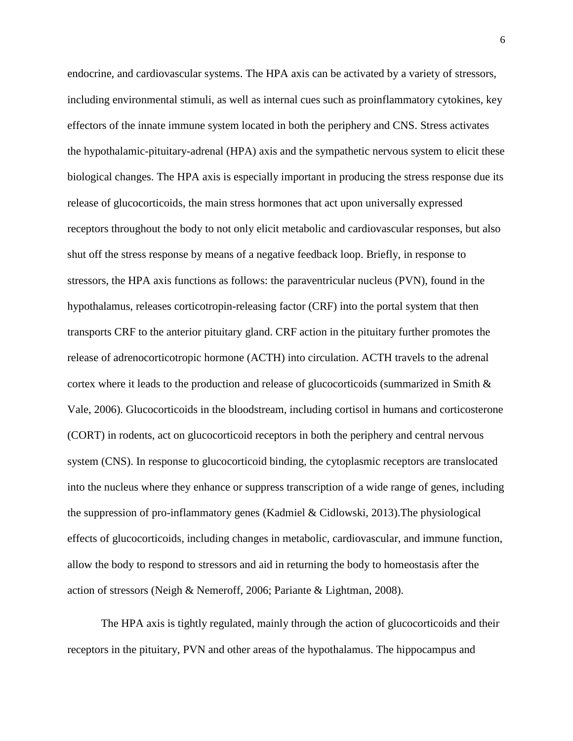endocrine, and cardiovascular systems. The HPA axis can be activated by a variety of stressors, including environmental stimuli, as well as internal cues such as proinflammatory cytokines, key effectors of the innate immune system located in both the periphery and CNS. Stress activates the hypothalamic-pituitary-adrenal (HPA) axis and the sympathetic nervous system to elicit these biological changes. The HPA axis is especially important in producing the stress response due its release of glucocorticoids, the main stress hormones that act upon universally expressed receptors throughout the body to not only elicit metabolic and cardiovascular responses, but also shut off the stress response by means of a negative feedback loop. Briefly, in response to stressors, the HPA axis functions as follows: the paraventricular nucleus (PVN), found in the hypothalamus, releases corticotropin-releasing factor (CRF) into the portal system that then transports CRF to the anterior pituitary gland. CRF action in the pituitary further promotes the release of adrenocorticotropic hormone (ACTH) into circulation. ACTH travels to the adrenal cortex where it leads to the production and release of glucocorticoids (summarized in Smith & Vale, 2006). Glucocorticoids in the bloodstream, including cortisol in humans and corticosterone (CORT) in rodents, act on glucocorticoid receptors in both the periphery and central nervous system (CNS). In response to glucocorticoid binding, the cytoplasmic receptors are translocated into the nucleus where they enhance or suppress transcription of a wide range of genes, including the suppression of pro-inflammatory genes (Kadmiel & Cidlowski, 2013).The physiological effects of glucocorticoids, including changes in metabolic, cardiovascular, and immune function, allow the body to respond to stressors and aid in returning the body to homeostasis after the action of stressors (Neigh & Nemeroff, 2006; Pariante & Lightman, 2008).

The HPA axis is tightly regulated, mainly through the action of glucocorticoids and their receptors in the pituitary, PVN and other areas of the hypothalamus. The hippocampus and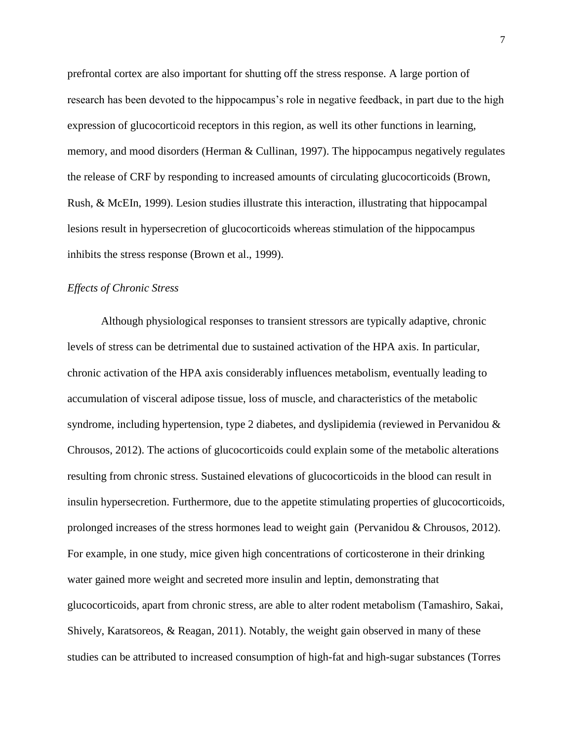prefrontal cortex are also important for shutting off the stress response. A large portion of research has been devoted to the hippocampus's role in negative feedback, in part due to the high expression of glucocorticoid receptors in this region, as well its other functions in learning, memory, and mood disorders (Herman & Cullinan, 1997). The hippocampus negatively regulates the release of CRF by responding to increased amounts of circulating glucocorticoids (Brown, Rush, & McEIn, 1999). Lesion studies illustrate this interaction, illustrating that hippocampal lesions result in hypersecretion of glucocorticoids whereas stimulation of the hippocampus inhibits the stress response (Brown et al., 1999).

## *Effects of Chronic Stress*

Although physiological responses to transient stressors are typically adaptive, chronic levels of stress can be detrimental due to sustained activation of the HPA axis. In particular, chronic activation of the HPA axis considerably influences metabolism, eventually leading to accumulation of visceral adipose tissue, loss of muscle, and characteristics of the metabolic syndrome, including hypertension, type 2 diabetes, and dyslipidemia (reviewed in Pervanidou  $\&$ Chrousos, 2012). The actions of glucocorticoids could explain some of the metabolic alterations resulting from chronic stress. Sustained elevations of glucocorticoids in the blood can result in insulin hypersecretion. Furthermore, due to the appetite stimulating properties of glucocorticoids, prolonged increases of the stress hormones lead to weight gain (Pervanidou & Chrousos, 2012). For example, in one study, mice given high concentrations of corticosterone in their drinking water gained more weight and secreted more insulin and leptin, demonstrating that glucocorticoids, apart from chronic stress, are able to alter rodent metabolism (Tamashiro, Sakai, Shively, Karatsoreos, & Reagan, 2011). Notably, the weight gain observed in many of these studies can be attributed to increased consumption of high-fat and high-sugar substances (Torres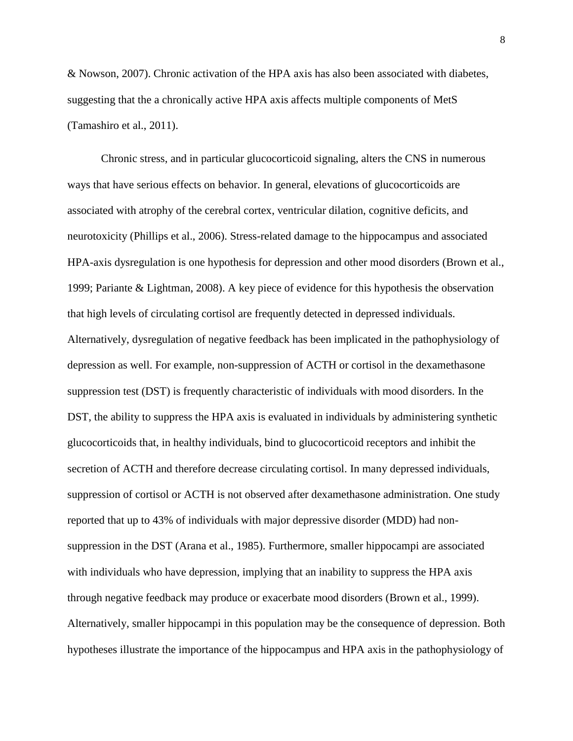& Nowson, 2007). Chronic activation of the HPA axis has also been associated with diabetes, suggesting that the a chronically active HPA axis affects multiple components of MetS (Tamashiro et al., 2011).

Chronic stress, and in particular glucocorticoid signaling, alters the CNS in numerous ways that have serious effects on behavior. In general, elevations of glucocorticoids are associated with atrophy of the cerebral cortex, ventricular dilation, cognitive deficits, and neurotoxicity (Phillips et al., 2006). Stress-related damage to the hippocampus and associated HPA-axis dysregulation is one hypothesis for depression and other mood disorders (Brown et al., 1999; Pariante & Lightman, 2008). A key piece of evidence for this hypothesis the observation that high levels of circulating cortisol are frequently detected in depressed individuals. Alternatively, dysregulation of negative feedback has been implicated in the pathophysiology of depression as well. For example, non-suppression of ACTH or cortisol in the dexamethasone suppression test (DST) is frequently characteristic of individuals with mood disorders. In the DST, the ability to suppress the HPA axis is evaluated in individuals by administering synthetic glucocorticoids that, in healthy individuals, bind to glucocorticoid receptors and inhibit the secretion of ACTH and therefore decrease circulating cortisol. In many depressed individuals, suppression of cortisol or ACTH is not observed after dexamethasone administration. One study reported that up to 43% of individuals with major depressive disorder (MDD) had nonsuppression in the DST (Arana et al., 1985). Furthermore, smaller hippocampi are associated with individuals who have depression, implying that an inability to suppress the HPA axis through negative feedback may produce or exacerbate mood disorders (Brown et al., 1999). Alternatively, smaller hippocampi in this population may be the consequence of depression. Both hypotheses illustrate the importance of the hippocampus and HPA axis in the pathophysiology of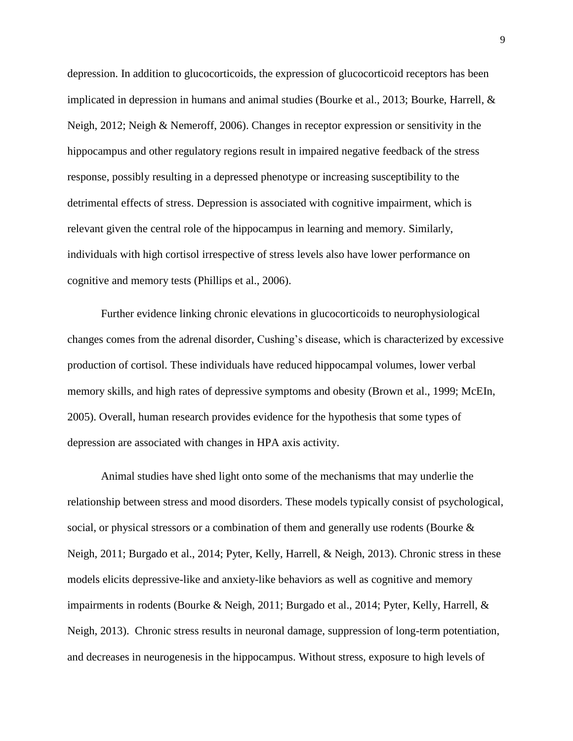depression. In addition to glucocorticoids, the expression of glucocorticoid receptors has been implicated in depression in humans and animal studies (Bourke et al., 2013; Bourke, Harrell, & Neigh, 2012; Neigh & Nemeroff, 2006). Changes in receptor expression or sensitivity in the hippocampus and other regulatory regions result in impaired negative feedback of the stress response, possibly resulting in a depressed phenotype or increasing susceptibility to the detrimental effects of stress. Depression is associated with cognitive impairment, which is relevant given the central role of the hippocampus in learning and memory. Similarly, individuals with high cortisol irrespective of stress levels also have lower performance on cognitive and memory tests (Phillips et al., 2006).

Further evidence linking chronic elevations in glucocorticoids to neurophysiological changes comes from the adrenal disorder, Cushing's disease, which is characterized by excessive production of cortisol. These individuals have reduced hippocampal volumes, lower verbal memory skills, and high rates of depressive symptoms and obesity (Brown et al., 1999; McEIn, 2005). Overall, human research provides evidence for the hypothesis that some types of depression are associated with changes in HPA axis activity.

Animal studies have shed light onto some of the mechanisms that may underlie the relationship between stress and mood disorders. These models typically consist of psychological, social, or physical stressors or a combination of them and generally use rodents (Bourke & Neigh, 2011; Burgado et al., 2014; Pyter, Kelly, Harrell, & Neigh, 2013). Chronic stress in these models elicits depressive-like and anxiety-like behaviors as well as cognitive and memory impairments in rodents (Bourke & Neigh, 2011; Burgado et al., 2014; Pyter, Kelly, Harrell, & Neigh, 2013). Chronic stress results in neuronal damage, suppression of long-term potentiation, and decreases in neurogenesis in the hippocampus. Without stress, exposure to high levels of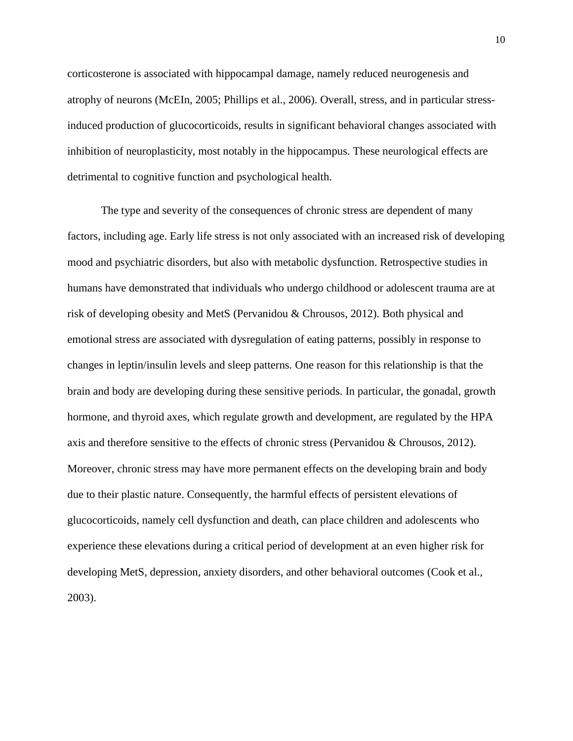corticosterone is associated with hippocampal damage, namely reduced neurogenesis and atrophy of neurons (McEIn, 2005; Phillips et al., 2006). Overall, stress, and in particular stressinduced production of glucocorticoids, results in significant behavioral changes associated with inhibition of neuroplasticity, most notably in the hippocampus. These neurological effects are detrimental to cognitive function and psychological health.

The type and severity of the consequences of chronic stress are dependent of many factors, including age. Early life stress is not only associated with an increased risk of developing mood and psychiatric disorders, but also with metabolic dysfunction. Retrospective studies in humans have demonstrated that individuals who undergo childhood or adolescent trauma are at risk of developing obesity and MetS (Pervanidou & Chrousos, 2012). Both physical and emotional stress are associated with dysregulation of eating patterns, possibly in response to changes in leptin/insulin levels and sleep patterns. One reason for this relationship is that the brain and body are developing during these sensitive periods. In particular, the gonadal, growth hormone, and thyroid axes, which regulate growth and development, are regulated by the HPA axis and therefore sensitive to the effects of chronic stress (Pervanidou & Chrousos, 2012). Moreover, chronic stress may have more permanent effects on the developing brain and body due to their plastic nature. Consequently, the harmful effects of persistent elevations of glucocorticoids, namely cell dysfunction and death, can place children and adolescents who experience these elevations during a critical period of development at an even higher risk for developing MetS, depression, anxiety disorders, and other behavioral outcomes (Cook et al., 2003).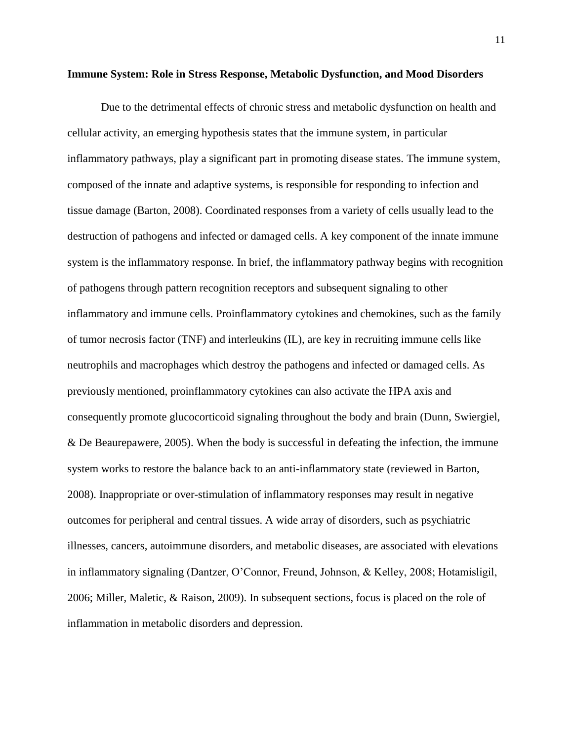#### **Immune System: Role in Stress Response, Metabolic Dysfunction, and Mood Disorders**

Due to the detrimental effects of chronic stress and metabolic dysfunction on health and cellular activity, an emerging hypothesis states that the immune system, in particular inflammatory pathways, play a significant part in promoting disease states. The immune system, composed of the innate and adaptive systems, is responsible for responding to infection and tissue damage (Barton, 2008). Coordinated responses from a variety of cells usually lead to the destruction of pathogens and infected or damaged cells. A key component of the innate immune system is the inflammatory response. In brief, the inflammatory pathway begins with recognition of pathogens through pattern recognition receptors and subsequent signaling to other inflammatory and immune cells. Proinflammatory cytokines and chemokines, such as the family of tumor necrosis factor (TNF) and interleukins (IL), are key in recruiting immune cells like neutrophils and macrophages which destroy the pathogens and infected or damaged cells. As previously mentioned, proinflammatory cytokines can also activate the HPA axis and consequently promote glucocorticoid signaling throughout the body and brain (Dunn, Swiergiel, & De Beaurepawere, 2005). When the body is successful in defeating the infection, the immune system works to restore the balance back to an anti-inflammatory state (reviewed in Barton, 2008). Inappropriate or over-stimulation of inflammatory responses may result in negative outcomes for peripheral and central tissues. A wide array of disorders, such as psychiatric illnesses, cancers, autoimmune disorders, and metabolic diseases, are associated with elevations in inflammatory signaling (Dantzer, O'Connor, Freund, Johnson, & Kelley, 2008; Hotamisligil, 2006; Miller, Maletic, & Raison, 2009). In subsequent sections, focus is placed on the role of inflammation in metabolic disorders and depression.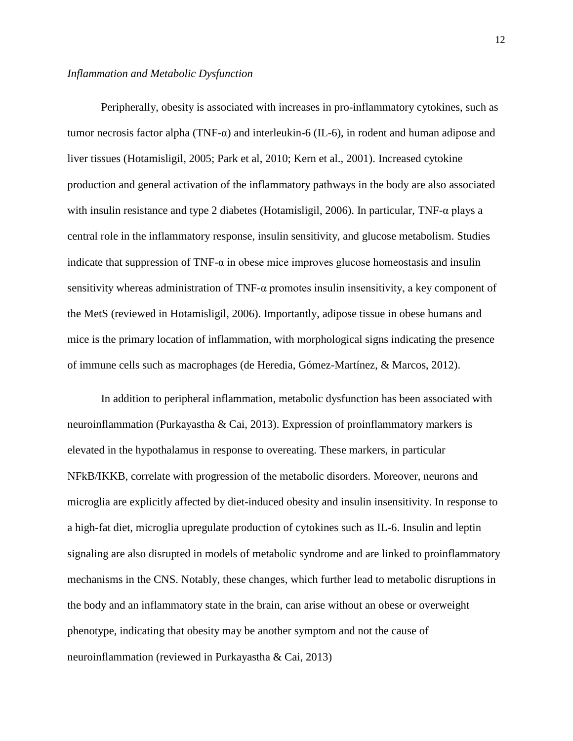Peripherally, obesity is associated with increases in pro-inflammatory cytokines, such as tumor necrosis factor alpha (TNF-α) and interleukin-6 (IL-6), in rodent and human adipose and liver tissues (Hotamisligil, 2005; Park et al, 2010; Kern et al., 2001). Increased cytokine production and general activation of the inflammatory pathways in the body are also associated with insulin resistance and type 2 diabetes (Hotamisligil, 2006). In particular, TNF-α plays a central role in the inflammatory response, insulin sensitivity, and glucose metabolism. Studies indicate that suppression of TNF- $\alpha$  in obese mice improves glucose homeostasis and insulin sensitivity whereas administration of TNF-α promotes insulin insensitivity, a key component of the MetS (reviewed in Hotamisligil, 2006). Importantly, adipose tissue in obese humans and mice is the primary location of inflammation, with morphological signs indicating the presence of immune cells such as macrophages (de Heredia, Gómez-Martínez, & Marcos, 2012).

In addition to peripheral inflammation, metabolic dysfunction has been associated with neuroinflammation (Purkayastha & Cai, 2013). Expression of proinflammatory markers is elevated in the hypothalamus in response to overeating. These markers, in particular NFkB/IKKB, correlate with progression of the metabolic disorders. Moreover, neurons and microglia are explicitly affected by diet-induced obesity and insulin insensitivity. In response to a high-fat diet, microglia upregulate production of cytokines such as IL-6. Insulin and leptin signaling are also disrupted in models of metabolic syndrome and are linked to proinflammatory mechanisms in the CNS. Notably, these changes, which further lead to metabolic disruptions in the body and an inflammatory state in the brain, can arise without an obese or overweight phenotype, indicating that obesity may be another symptom and not the cause of neuroinflammation (reviewed in Purkayastha & Cai, 2013)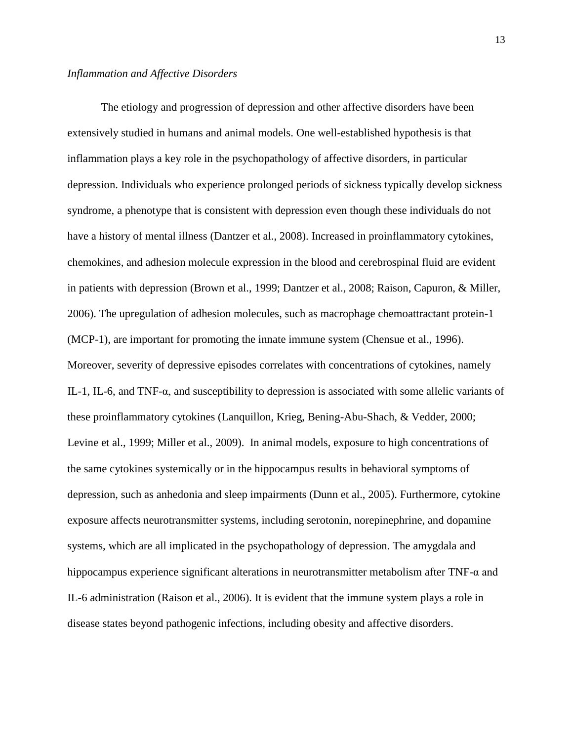The etiology and progression of depression and other affective disorders have been extensively studied in humans and animal models. One well-established hypothesis is that inflammation plays a key role in the psychopathology of affective disorders, in particular depression. Individuals who experience prolonged periods of sickness typically develop sickness syndrome, a phenotype that is consistent with depression even though these individuals do not have a history of mental illness (Dantzer et al., 2008). Increased in proinflammatory cytokines, chemokines, and adhesion molecule expression in the blood and cerebrospinal fluid are evident in patients with depression (Brown et al., 1999; Dantzer et al., 2008; Raison, Capuron, & Miller, 2006). The upregulation of adhesion molecules, such as macrophage chemoattractant protein-1 (MCP-1), are important for promoting the innate immune system (Chensue et al., 1996). Moreover, severity of depressive episodes correlates with concentrations of cytokines, namely IL-1, IL-6, and TNF- $α$ , and susceptibility to depression is associated with some allelic variants of these proinflammatory cytokines (Lanquillon, Krieg, Bening-Abu-Shach, & Vedder, 2000; Levine et al., 1999; Miller et al., 2009). In animal models, exposure to high concentrations of the same cytokines systemically or in the hippocampus results in behavioral symptoms of depression, such as anhedonia and sleep impairments (Dunn et al., 2005). Furthermore, cytokine exposure affects neurotransmitter systems, including serotonin, norepinephrine, and dopamine systems, which are all implicated in the psychopathology of depression. The amygdala and hippocampus experience significant alterations in neurotransmitter metabolism after TNF-α and IL-6 administration (Raison et al., 2006). It is evident that the immune system plays a role in disease states beyond pathogenic infections, including obesity and affective disorders.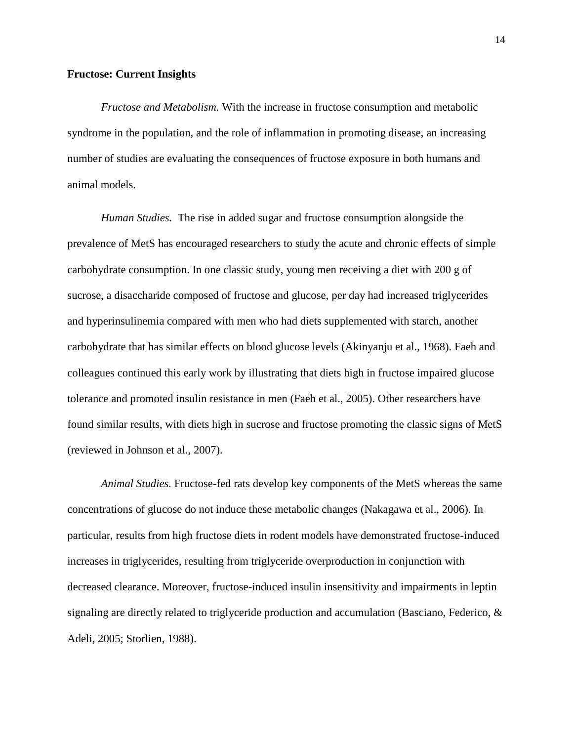## **Fructose: Current Insights**

*Fructose and Metabolism.* With the increase in fructose consumption and metabolic syndrome in the population, and the role of inflammation in promoting disease, an increasing number of studies are evaluating the consequences of fructose exposure in both humans and animal models.

*Human Studies.* The rise in added sugar and fructose consumption alongside the prevalence of MetS has encouraged researchers to study the acute and chronic effects of simple carbohydrate consumption. In one classic study, young men receiving a diet with 200 g of sucrose, a disaccharide composed of fructose and glucose, per day had increased triglycerides and hyperinsulinemia compared with men who had diets supplemented with starch, another carbohydrate that has similar effects on blood glucose levels (Akinyanju et al., 1968). Faeh and colleagues continued this early work by illustrating that diets high in fructose impaired glucose tolerance and promoted insulin resistance in men (Faeh et al., 2005). Other researchers have found similar results, with diets high in sucrose and fructose promoting the classic signs of MetS (reviewed in Johnson et al., 2007).

*Animal Studies.* Fructose-fed rats develop key components of the MetS whereas the same concentrations of glucose do not induce these metabolic changes (Nakagawa et al., 2006). In particular, results from high fructose diets in rodent models have demonstrated fructose-induced increases in triglycerides, resulting from triglyceride overproduction in conjunction with decreased clearance. Moreover, fructose-induced insulin insensitivity and impairments in leptin signaling are directly related to triglyceride production and accumulation (Basciano, Federico, & Adeli, 2005; Storlien, 1988).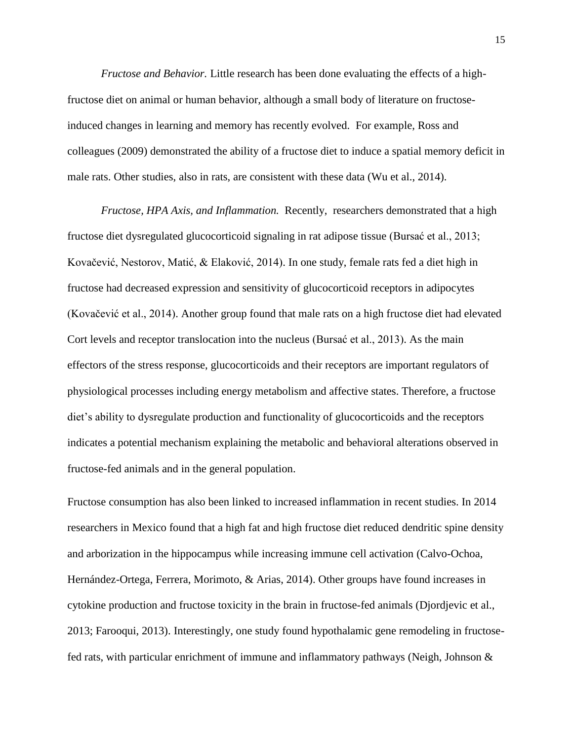*Fructose and Behavior.* Little research has been done evaluating the effects of a highfructose diet on animal or human behavior, although a small body of literature on fructoseinduced changes in learning and memory has recently evolved. For example, Ross and colleagues (2009) demonstrated the ability of a fructose diet to induce a spatial memory deficit in male rats. Other studies, also in rats, are consistent with these data (Wu et al., 2014).

*Fructose, HPA Axis, and Inflammation.* Recently, researchers demonstrated that a high fructose diet dysregulated glucocorticoid signaling in rat adipose tissue (Bursać et al., 2013; Kovačević, Nestorov, Matić, & Elaković, 2014). In one study, female rats fed a diet high in fructose had decreased expression and sensitivity of glucocorticoid receptors in adipocytes (Kovačević et al., 2014). Another group found that male rats on a high fructose diet had elevated Cort levels and receptor translocation into the nucleus (Bursać et al., 2013). As the main effectors of the stress response, glucocorticoids and their receptors are important regulators of physiological processes including energy metabolism and affective states. Therefore, a fructose diet's ability to dysregulate production and functionality of glucocorticoids and the receptors indicates a potential mechanism explaining the metabolic and behavioral alterations observed in fructose-fed animals and in the general population.

Fructose consumption has also been linked to increased inflammation in recent studies. In 2014 researchers in Mexico found that a high fat and high fructose diet reduced dendritic spine density and arborization in the hippocampus while increasing immune cell activation (Calvo-Ochoa, Hernández-Ortega, Ferrera, Morimoto, & Arias, 2014). Other groups have found increases in cytokine production and fructose toxicity in the brain in fructose-fed animals (Djordjevic et al., 2013; Farooqui, 2013). Interestingly, one study found hypothalamic gene remodeling in fructosefed rats, with particular enrichment of immune and inflammatory pathways (Neigh, Johnson &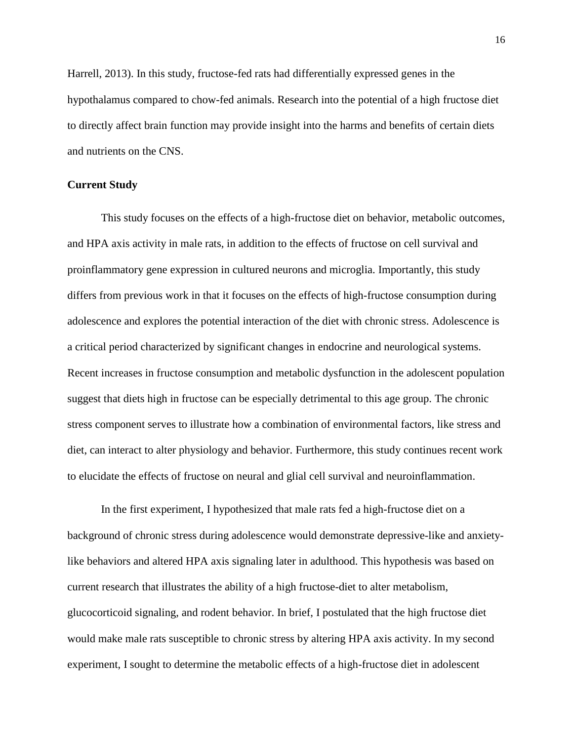Harrell, 2013). In this study, fructose-fed rats had differentially expressed genes in the hypothalamus compared to chow-fed animals. Research into the potential of a high fructose diet to directly affect brain function may provide insight into the harms and benefits of certain diets and nutrients on the CNS.

## **Current Study**

This study focuses on the effects of a high-fructose diet on behavior, metabolic outcomes, and HPA axis activity in male rats, in addition to the effects of fructose on cell survival and proinflammatory gene expression in cultured neurons and microglia. Importantly, this study differs from previous work in that it focuses on the effects of high-fructose consumption during adolescence and explores the potential interaction of the diet with chronic stress. Adolescence is a critical period characterized by significant changes in endocrine and neurological systems. Recent increases in fructose consumption and metabolic dysfunction in the adolescent population suggest that diets high in fructose can be especially detrimental to this age group. The chronic stress component serves to illustrate how a combination of environmental factors, like stress and diet, can interact to alter physiology and behavior. Furthermore, this study continues recent work to elucidate the effects of fructose on neural and glial cell survival and neuroinflammation.

In the first experiment, I hypothesized that male rats fed a high-fructose diet on a background of chronic stress during adolescence would demonstrate depressive-like and anxietylike behaviors and altered HPA axis signaling later in adulthood. This hypothesis was based on current research that illustrates the ability of a high fructose-diet to alter metabolism, glucocorticoid signaling, and rodent behavior. In brief, I postulated that the high fructose diet would make male rats susceptible to chronic stress by altering HPA axis activity. In my second experiment, I sought to determine the metabolic effects of a high-fructose diet in adolescent

16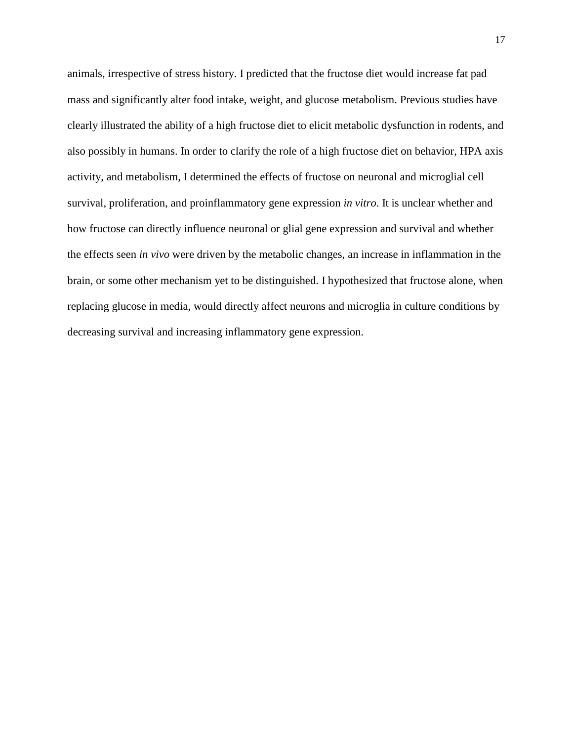animals, irrespective of stress history. I predicted that the fructose diet would increase fat pad mass and significantly alter food intake, weight, and glucose metabolism. Previous studies have clearly illustrated the ability of a high fructose diet to elicit metabolic dysfunction in rodents, and also possibly in humans. In order to clarify the role of a high fructose diet on behavior, HPA axis activity, and metabolism, I determined the effects of fructose on neuronal and microglial cell survival, proliferation, and proinflammatory gene expression *in vitro*. It is unclear whether and how fructose can directly influence neuronal or glial gene expression and survival and whether the effects seen *in vivo* were driven by the metabolic changes, an increase in inflammation in the brain, or some other mechanism yet to be distinguished. I hypothesized that fructose alone, when replacing glucose in media, would directly affect neurons and microglia in culture conditions by decreasing survival and increasing inflammatory gene expression.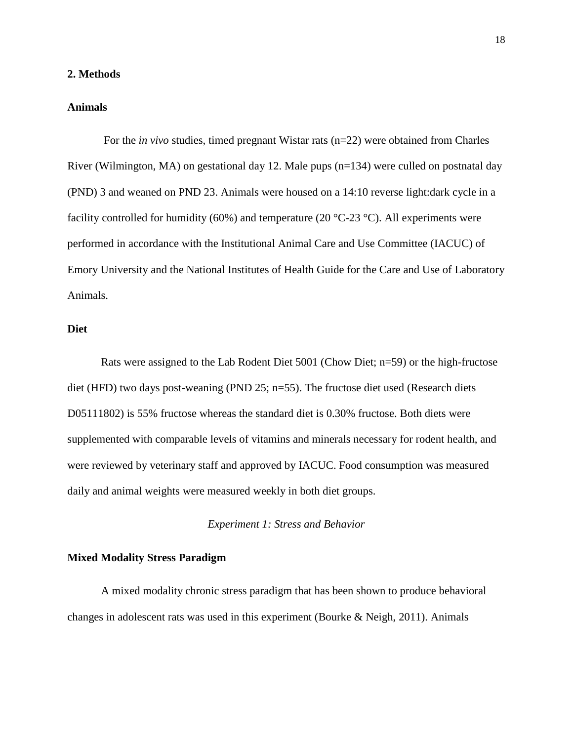## **2. Methods**

### **Animals**

For the *in vivo* studies, timed pregnant Wistar rats (n=22) were obtained from Charles River (Wilmington, MA) on gestational day 12. Male pups (n=134) were culled on postnatal day (PND) 3 and weaned on PND 23. Animals were housed on a 14:10 reverse light:dark cycle in a facility controlled for humidity (60%) and temperature (20  $^{\circ}$ C-23  $^{\circ}$ C). All experiments were performed in accordance with the Institutional Animal Care and Use Committee (IACUC) of Emory University and the National Institutes of Health Guide for the Care and Use of Laboratory Animals.

## **Diet**

Rats were assigned to the Lab Rodent Diet 5001 (Chow Diet; n=59) or the high-fructose diet (HFD) two days post-weaning (PND 25; n=55). The fructose diet used (Research diets D05111802) is 55% fructose whereas the standard diet is 0.30% fructose. Both diets were supplemented with comparable levels of vitamins and minerals necessary for rodent health, and were reviewed by veterinary staff and approved by IACUC. Food consumption was measured daily and animal weights were measured weekly in both diet groups.

*Experiment 1: Stress and Behavior*

## **Mixed Modality Stress Paradigm**

A mixed modality chronic stress paradigm that has been shown to produce behavioral changes in adolescent rats was used in this experiment (Bourke & Neigh, 2011). Animals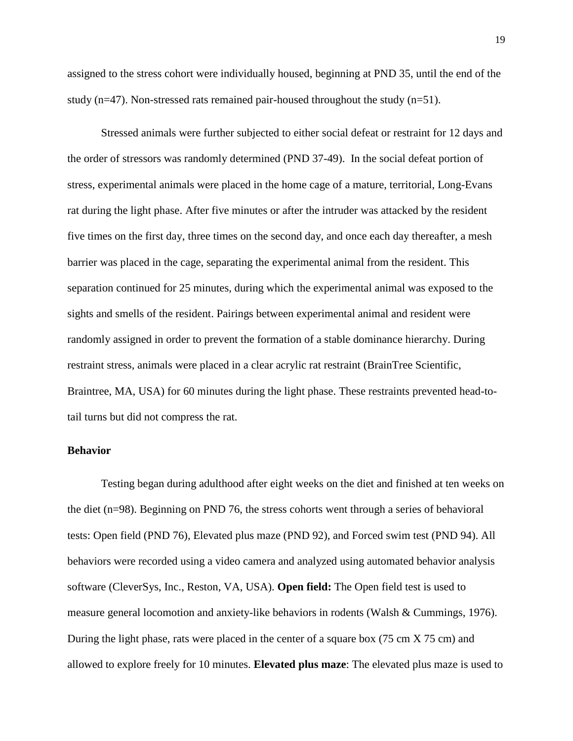assigned to the stress cohort were individually housed, beginning at PND 35, until the end of the study (n=47). Non-stressed rats remained pair-housed throughout the study (n=51).

Stressed animals were further subjected to either social defeat or restraint for 12 days and the order of stressors was randomly determined (PND 37-49). In the social defeat portion of stress, experimental animals were placed in the home cage of a mature, territorial, Long-Evans rat during the light phase. After five minutes or after the intruder was attacked by the resident five times on the first day, three times on the second day, and once each day thereafter, a mesh barrier was placed in the cage, separating the experimental animal from the resident. This separation continued for 25 minutes, during which the experimental animal was exposed to the sights and smells of the resident. Pairings between experimental animal and resident were randomly assigned in order to prevent the formation of a stable dominance hierarchy. During restraint stress, animals were placed in a clear acrylic rat restraint (BrainTree Scientific, Braintree, MA, USA) for 60 minutes during the light phase. These restraints prevented head-totail turns but did not compress the rat.

### **Behavior**

Testing began during adulthood after eight weeks on the diet and finished at ten weeks on the diet (n=98). Beginning on PND 76, the stress cohorts went through a series of behavioral tests: Open field (PND 76), Elevated plus maze (PND 92), and Forced swim test (PND 94). All behaviors were recorded using a video camera and analyzed using automated behavior analysis software (CleverSys, Inc., Reston, VA, USA). **Open field:** The Open field test is used to measure general locomotion and anxiety-like behaviors in rodents (Walsh & Cummings, 1976). During the light phase, rats were placed in the center of a square box (75 cm X 75 cm) and allowed to explore freely for 10 minutes. **Elevated plus maze**: The elevated plus maze is used to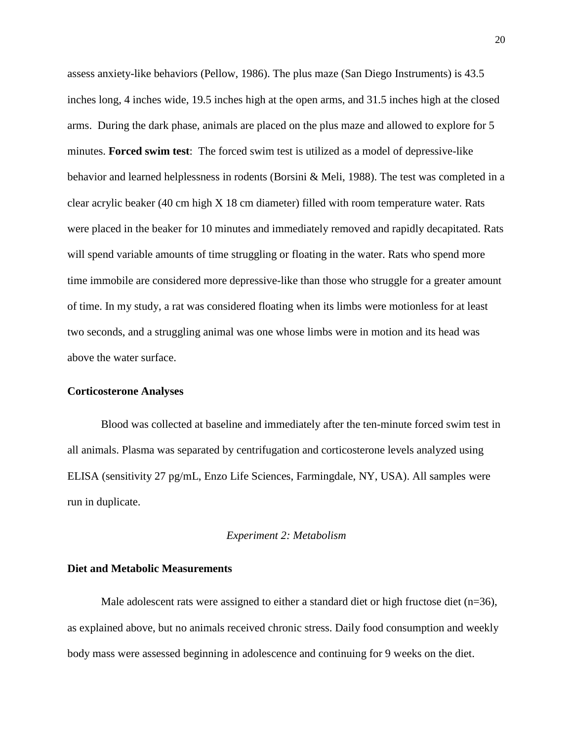assess anxiety-like behaviors (Pellow, 1986). The plus maze (San Diego Instruments) is 43.5 inches long, 4 inches wide, 19.5 inches high at the open arms, and 31.5 inches high at the closed arms. During the dark phase, animals are placed on the plus maze and allowed to explore for 5 minutes. **Forced swim test**: The forced swim test is utilized as a model of depressive-like behavior and learned helplessness in rodents (Borsini & Meli, 1988). The test was completed in a clear acrylic beaker (40 cm high X 18 cm diameter) filled with room temperature water. Rats were placed in the beaker for 10 minutes and immediately removed and rapidly decapitated. Rats will spend variable amounts of time struggling or floating in the water. Rats who spend more time immobile are considered more depressive-like than those who struggle for a greater amount of time. In my study, a rat was considered floating when its limbs were motionless for at least two seconds, and a struggling animal was one whose limbs were in motion and its head was above the water surface.

## **Corticosterone Analyses**

Blood was collected at baseline and immediately after the ten-minute forced swim test in all animals. Plasma was separated by centrifugation and corticosterone levels analyzed using ELISA (sensitivity 27 pg/mL, Enzo Life Sciences, Farmingdale, NY, USA). All samples were run in duplicate.

## *Experiment 2: Metabolism*

## **Diet and Metabolic Measurements**

Male adolescent rats were assigned to either a standard diet or high fructose diet  $(n=36)$ , as explained above, but no animals received chronic stress. Daily food consumption and weekly body mass were assessed beginning in adolescence and continuing for 9 weeks on the diet.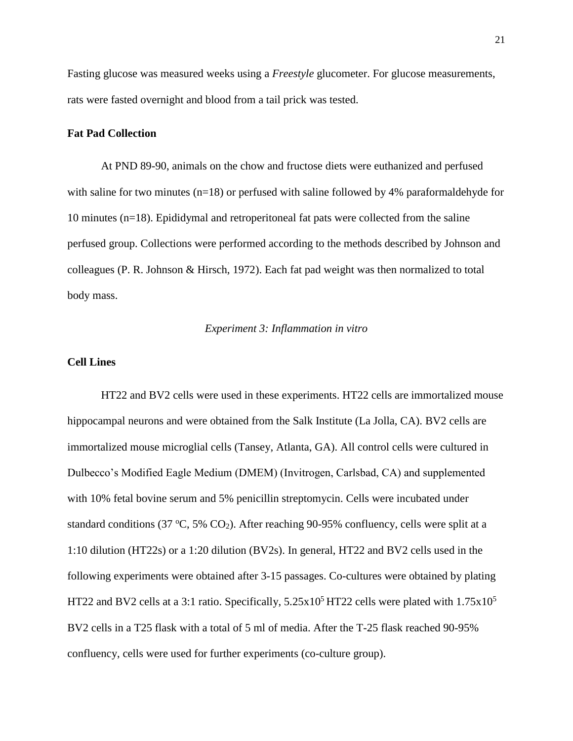Fasting glucose was measured weeks using a *Freestyle* glucometer. For glucose measurements, rats were fasted overnight and blood from a tail prick was tested.

## **Fat Pad Collection**

At PND 89-90, animals on the chow and fructose diets were euthanized and perfused with saline for two minutes  $(n=18)$  or perfused with saline followed by 4% paraformaldehyde for 10 minutes (n=18). Epididymal and retroperitoneal fat pats were collected from the saline perfused group. Collections were performed according to the methods described by Johnson and colleagues (P. R. Johnson & Hirsch, 1972). Each fat pad weight was then normalized to total body mass.

## *Experiment 3: Inflammation in vitro*

## **Cell Lines**

HT22 and BV2 cells were used in these experiments. HT22 cells are immortalized mouse hippocampal neurons and were obtained from the Salk Institute (La Jolla, CA). BV2 cells are immortalized mouse microglial cells (Tansey, Atlanta, GA). All control cells were cultured in Dulbecco's Modified Eagle Medium (DMEM) (Invitrogen, Carlsbad, CA) and supplemented with 10% fetal bovine serum and 5% penicillin streptomycin. Cells were incubated under standard conditions (37 °C, 5%  $CO<sub>2</sub>$ ). After reaching 90-95% confluency, cells were split at a 1:10 dilution (HT22s) or a 1:20 dilution (BV2s). In general, HT22 and BV2 cells used in the following experiments were obtained after 3-15 passages. Co-cultures were obtained by plating HT22 and BV2 cells at a 3:1 ratio. Specifically,  $5.25 \times 10^5$  HT22 cells were plated with  $1.75 \times 10^5$ BV2 cells in a T25 flask with a total of 5 ml of media. After the T-25 flask reached 90-95% confluency, cells were used for further experiments (co-culture group).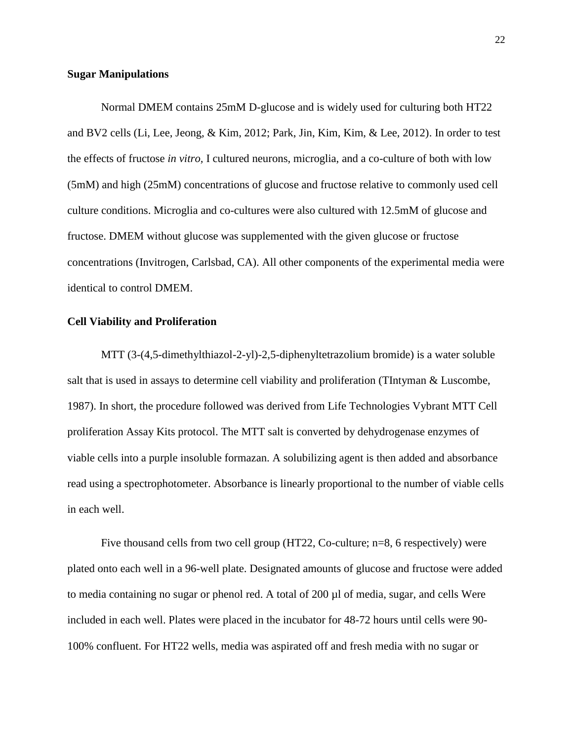#### **Sugar Manipulations**

Normal DMEM contains 25mM D-glucose and is widely used for culturing both HT22 and BV2 cells (Li, Lee, Jeong, & Kim, 2012; Park, Jin, Kim, Kim, & Lee, 2012). In order to test the effects of fructose *in vitro,* I cultured neurons, microglia, and a co-culture of both with low (5mM) and high (25mM) concentrations of glucose and fructose relative to commonly used cell culture conditions. Microglia and co-cultures were also cultured with 12.5mM of glucose and fructose. DMEM without glucose was supplemented with the given glucose or fructose concentrations (Invitrogen, Carlsbad, CA). All other components of the experimental media were identical to control DMEM.

## **Cell Viability and Proliferation**

MTT (3-(4,5-dimethylthiazol-2-yl)-2,5-diphenyltetrazolium bromide) is a water soluble salt that is used in assays to determine cell viability and proliferation (TIntyman & Luscombe, 1987). In short, the procedure followed was derived from Life Technologies Vybrant MTT Cell proliferation Assay Kits protocol. The MTT salt is converted by dehydrogenase enzymes of viable cells into a purple insoluble formazan. A solubilizing agent is then added and absorbance read using a spectrophotometer. Absorbance is linearly proportional to the number of viable cells in each well.

Five thousand cells from two cell group (HT22, Co-culture; n=8, 6 respectively) were plated onto each well in a 96-well plate. Designated amounts of glucose and fructose were added to media containing no sugar or phenol red. A total of 200 µl of media, sugar, and cells Were included in each well. Plates were placed in the incubator for 48-72 hours until cells were 90- 100% confluent. For HT22 wells, media was aspirated off and fresh media with no sugar or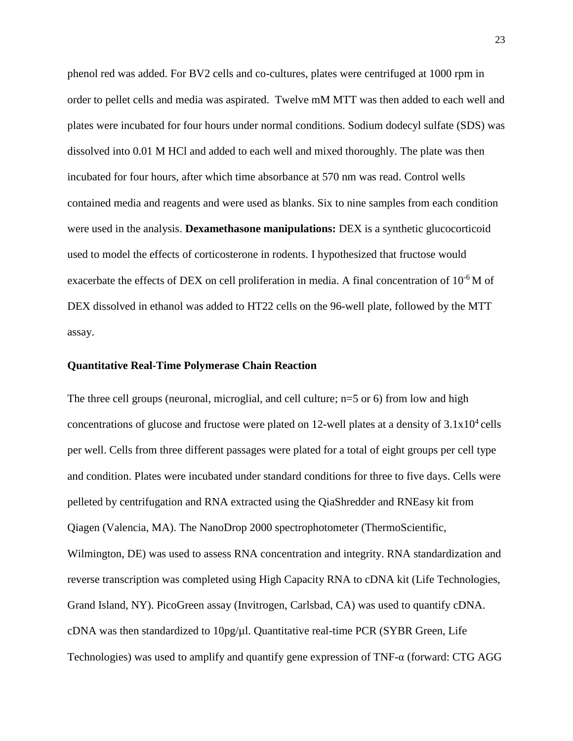phenol red was added. For BV2 cells and co-cultures, plates were centrifuged at 1000 rpm in order to pellet cells and media was aspirated. Twelve mM MTT was then added to each well and plates were incubated for four hours under normal conditions. Sodium dodecyl sulfate (SDS) was dissolved into 0.01 M HCl and added to each well and mixed thoroughly. The plate was then incubated for four hours, after which time absorbance at 570 nm was read. Control wells contained media and reagents and were used as blanks. Six to nine samples from each condition were used in the analysis. **Dexamethasone manipulations:** DEX is a synthetic glucocorticoid used to model the effects of corticosterone in rodents. I hypothesized that fructose would exacerbate the effects of DEX on cell proliferation in media. A final concentration of 10<sup>-6</sup> M of DEX dissolved in ethanol was added to HT22 cells on the 96-well plate, followed by the MTT assay.

## **Quantitative Real-Time Polymerase Chain Reaction**

The three cell groups (neuronal, microglial, and cell culture; n=5 or 6) from low and high concentrations of glucose and fructose were plated on 12-well plates at a density of  $3.1x10^4$  cells per well. Cells from three different passages were plated for a total of eight groups per cell type and condition. Plates were incubated under standard conditions for three to five days. Cells were pelleted by centrifugation and RNA extracted using the QiaShredder and RNEasy kit from Qiagen (Valencia, MA). The NanoDrop 2000 spectrophotometer (ThermoScientific, Wilmington, DE) was used to assess RNA concentration and integrity. RNA standardization and reverse transcription was completed using High Capacity RNA to cDNA kit (Life Technologies, Grand Island, NY). PicoGreen assay (Invitrogen, Carlsbad, CA) was used to quantify cDNA. cDNA was then standardized to  $10pg/\mu$ . Quantitative real-time PCR (SYBR Green, Life Technologies) was used to amplify and quantify gene expression of  $TNF-\alpha$  (forward: CTG AGG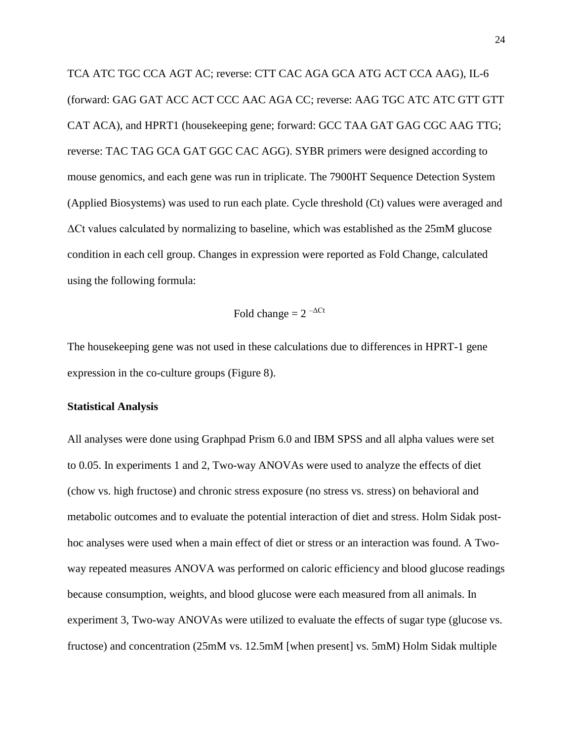TCA ATC TGC CCA AGT AC; reverse: CTT CAC AGA GCA ATG ACT CCA AAG), IL-6 (forward: GAG GAT ACC ACT CCC AAC AGA CC; reverse: AAG TGC ATC ATC GTT GTT CAT ACA), and HPRT1 (housekeeping gene; forward: GCC TAA GAT GAG CGC AAG TTG; reverse: TAC TAG GCA GAT GGC CAC AGG). SYBR primers were designed according to mouse genomics, and each gene was run in triplicate. The 7900HT Sequence Detection System (Applied Biosystems) was used to run each plate. Cycle threshold (Ct) values were averaged and ΔCt values calculated by normalizing to baseline, which was established as the 25mM glucose condition in each cell group. Changes in expression were reported as Fold Change, calculated using the following formula:

$$
Fold change = 2^{-\Delta Ct}
$$

The housekeeping gene was not used in these calculations due to differences in HPRT-1 gene expression in the co-culture groups (Figure 8).

## **Statistical Analysis**

All analyses were done using Graphpad Prism 6.0 and IBM SPSS and all alpha values were set to 0.05. In experiments 1 and 2, Two-way ANOVAs were used to analyze the effects of diet (chow vs. high fructose) and chronic stress exposure (no stress vs. stress) on behavioral and metabolic outcomes and to evaluate the potential interaction of diet and stress. Holm Sidak posthoc analyses were used when a main effect of diet or stress or an interaction was found. A Twoway repeated measures ANOVA was performed on caloric efficiency and blood glucose readings because consumption, weights, and blood glucose were each measured from all animals. In experiment 3, Two-way ANOVAs were utilized to evaluate the effects of sugar type (glucose vs. fructose) and concentration (25mM vs. 12.5mM [when present] vs. 5mM) Holm Sidak multiple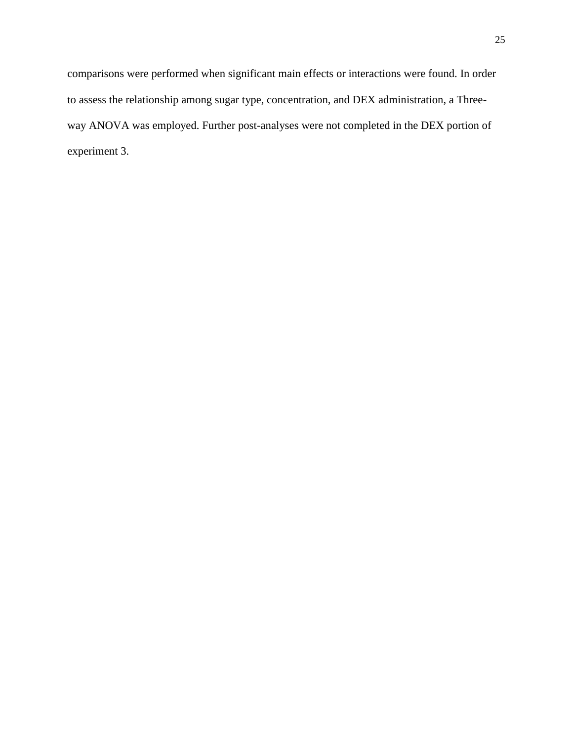comparisons were performed when significant main effects or interactions were found. In order to assess the relationship among sugar type, concentration, and DEX administration, a Threeway ANOVA was employed. Further post-analyses were not completed in the DEX portion of experiment 3.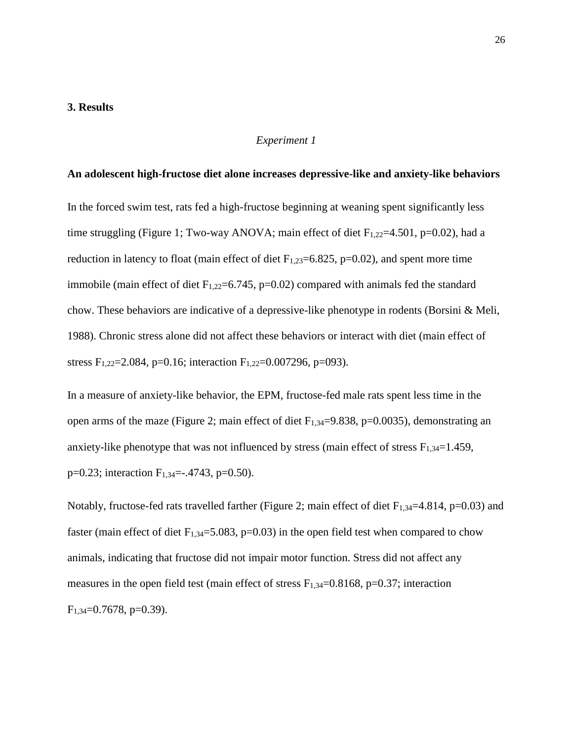## **3. Results**

### *Experiment 1*

## **An adolescent high-fructose diet alone increases depressive-like and anxiety-like behaviors**

In the forced swim test, rats fed a high-fructose beginning at weaning spent significantly less time struggling (Figure 1; Two-way ANOVA; main effect of diet  $F_{1,22}=4.501$ , p=0.02), had a reduction in latency to float (main effect of diet  $F_{1,23}=6.825$ , p=0.02), and spent more time immobile (main effect of diet  $F_{1,22}=6.745$ , p=0.02) compared with animals fed the standard chow. These behaviors are indicative of a depressive-like phenotype in rodents (Borsini & Meli, 1988). Chronic stress alone did not affect these behaviors or interact with diet (main effect of stress F<sub>1,22</sub>=2,084, p=0.16; interaction F<sub>1,22</sub>=0,007296, p=093).

In a measure of anxiety-like behavior, the EPM, fructose-fed male rats spent less time in the open arms of the maze (Figure 2; main effect of diet  $F_{1,34}=9.838$ , p=0.0035), demonstrating an anxiety-like phenotype that was not influenced by stress (main effect of stress  $F_{1,34}=1.459$ ,  $p=0.23$ ; interaction  $F_{1,34}=-0.4743$ ,  $p=0.50$ ).

Notably, fructose-fed rats travelled farther (Figure 2; main effect of diet  $F_{1,34}$ =4.814, p=0.03) and faster (main effect of diet  $F_{1,34}=5.083$ , p=0.03) in the open field test when compared to chow animals, indicating that fructose did not impair motor function. Stress did not affect any measures in the open field test (main effect of stress  $F_{1,34}=0.8168$ , p=0.37; interaction  $F_{1,34}=0.7678$ , p=0.39).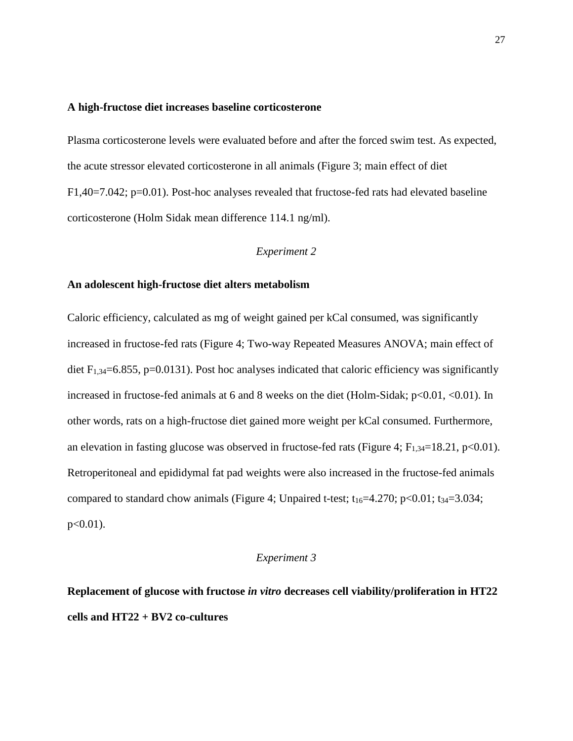#### **A high-fructose diet increases baseline corticosterone**

Plasma corticosterone levels were evaluated before and after the forced swim test. As expected, the acute stressor elevated corticosterone in all animals (Figure 3; main effect of diet F1,40=7.042; p=0.01). Post-hoc analyses revealed that fructose-fed rats had elevated baseline corticosterone (Holm Sidak mean difference 114.1 ng/ml).

## *Experiment 2*

## **An adolescent high-fructose diet alters metabolism**

Caloric efficiency, calculated as mg of weight gained per kCal consumed, was significantly increased in fructose-fed rats (Figure 4; Two-way Repeated Measures ANOVA; main effect of diet  $F_{1,34}=6.855$ , p=0.0131). Post hoc analyses indicated that caloric efficiency was significantly increased in fructose-fed animals at 6 and 8 weeks on the diet (Holm-Sidak; p<0.01, <0.01). In other words, rats on a high-fructose diet gained more weight per kCal consumed. Furthermore, an elevation in fasting glucose was observed in fructose-fed rats (Figure 4;  $F_{1,34}=18.21$ , p<0.01). Retroperitoneal and epididymal fat pad weights were also increased in the fructose-fed animals compared to standard chow animals (Figure 4; Unpaired t-test;  $t_{16}=4.270$ ;  $p<0.01$ ;  $t_{34}=3.034$ ;  $p < 0.01$ ).

## *Experiment 3*

# **Replacement of glucose with fructose** *in vitro* **decreases cell viability/proliferation in HT22 cells and HT22 + BV2 co-cultures**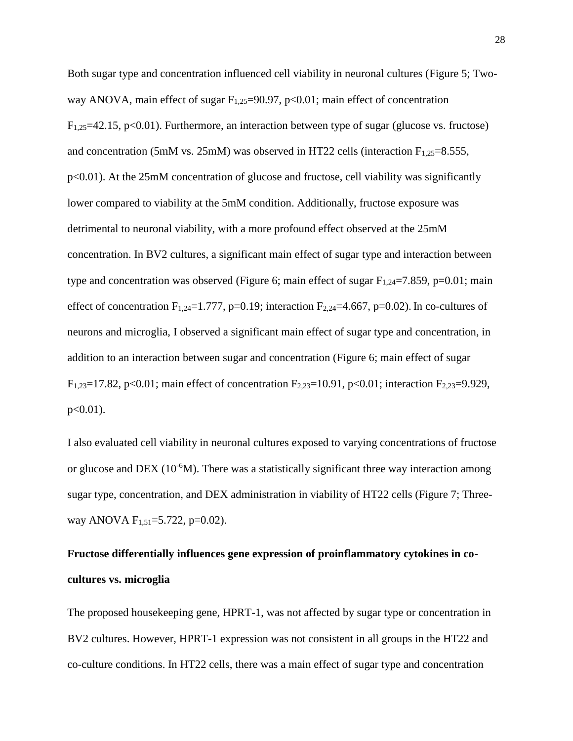Both sugar type and concentration influenced cell viability in neuronal cultures (Figure 5; Twoway ANOVA, main effect of sugar  $F_{1,25}=90.97$ , p<0.01; main effect of concentration  $F_{1,25}=42.15$ , p<0.01). Furthermore, an interaction between type of sugar (glucose vs. fructose) and concentration (5mM vs. 25mM) was observed in HT22 cells (interaction  $F_{1,25}=8.555$ , p<0.01). At the 25mM concentration of glucose and fructose, cell viability was significantly lower compared to viability at the 5mM condition. Additionally, fructose exposure was detrimental to neuronal viability, with a more profound effect observed at the 25mM concentration. In BV2 cultures, a significant main effect of sugar type and interaction between type and concentration was observed (Figure 6; main effect of sugar  $F_{1,24}=7.859$ , p=0.01; main effect of concentration  $F_{1,24}=1.777$ , p=0.19; interaction  $F_{2,24}=4.667$ , p=0.02). In co-cultures of neurons and microglia, I observed a significant main effect of sugar type and concentration, in addition to an interaction between sugar and concentration (Figure 6; main effect of sugar F<sub>1,23</sub>=17.82, p<0.01; main effect of concentration F<sub>2,23</sub>=10.91, p<0.01; interaction F<sub>2,23</sub>=9.929,  $p<0.01$ ).

I also evaluated cell viability in neuronal cultures exposed to varying concentrations of fructose or glucose and DEX ( $10^{-6}$ M). There was a statistically significant three way interaction among sugar type, concentration, and DEX administration in viability of HT22 cells (Figure 7; Threeway ANOVA  $F_{1,51} = 5.722$ , p=0.02).

# **Fructose differentially influences gene expression of proinflammatory cytokines in cocultures vs. microglia**

The proposed housekeeping gene, HPRT-1, was not affected by sugar type or concentration in BV2 cultures. However, HPRT-1 expression was not consistent in all groups in the HT22 and co-culture conditions. In HT22 cells, there was a main effect of sugar type and concentration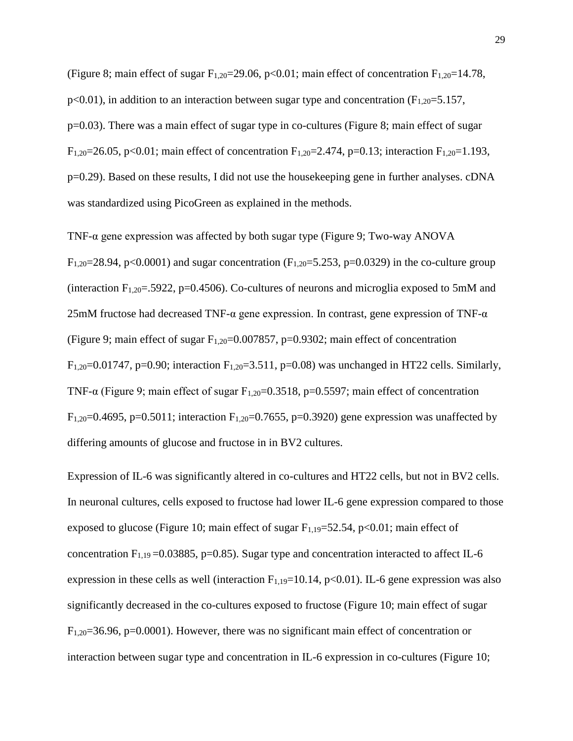(Figure 8; main effect of sugar  $F_{1,20}=29.06$ , p<0.01; main effect of concentration  $F_{1,20}=14.78$ ,  $p<0.01$ ), in addition to an interaction between sugar type and concentration ( $F<sub>1,20</sub>=5.157$ , p=0.03). There was a main effect of sugar type in co-cultures (Figure 8; main effect of sugar F<sub>1,20</sub>=26.05, p<0.01; main effect of concentration F<sub>1,20</sub>=2.474, p=0.13; interaction F<sub>1,20</sub>=1.193, p=0.29). Based on these results, I did not use the housekeeping gene in further analyses. cDNA was standardized using PicoGreen as explained in the methods.

TNF-α gene expression was affected by both sugar type (Figure 9; Two-way ANOVA  $F_{1,20}=28.94$ , p<0.0001) and sugar concentration ( $F_{1,20}=5.253$ , p=0.0329) in the co-culture group (interaction  $F_{1,20}$ =.5922, p=0.4506). Co-cultures of neurons and microglia exposed to 5mM and  $25 \text{mM}$  fructose had decreased TNF- $\alpha$  gene expression. In contrast, gene expression of TNF- $\alpha$ (Figure 9; main effect of sugar  $F_{1,20}=0.007857$ , p=0.9302; main effect of concentration F<sub>1,20</sub>=0.01747, p=0.90; interaction F<sub>1,20</sub>=3.511, p=0.08) was unchanged in HT22 cells. Similarly, TNF- $\alpha$  (Figure 9; main effect of sugar F<sub>1,20</sub>=0.3518, p=0.5597; main effect of concentration F<sub>1,20</sub>=0.4695, p=0.5011; interaction F<sub>1,20</sub>=0.7655, p=0.3920) gene expression was unaffected by differing amounts of glucose and fructose in in BV2 cultures.

Expression of IL-6 was significantly altered in co-cultures and HT22 cells, but not in BV2 cells. In neuronal cultures, cells exposed to fructose had lower IL-6 gene expression compared to those exposed to glucose (Figure 10; main effect of sugar  $F_{1,19}=52.54$ , p<0.01; main effect of concentration  $F_{1,19} = 0.03885$ , p=0.85). Sugar type and concentration interacted to affect IL-6 expression in these cells as well (interaction  $F_{1,19}=10.14$ , p<0.01). IL-6 gene expression was also significantly decreased in the co-cultures exposed to fructose (Figure 10; main effect of sugar  $F_{1,20}=36.96$ , p=0.0001). However, there was no significant main effect of concentration or interaction between sugar type and concentration in IL-6 expression in co-cultures (Figure 10;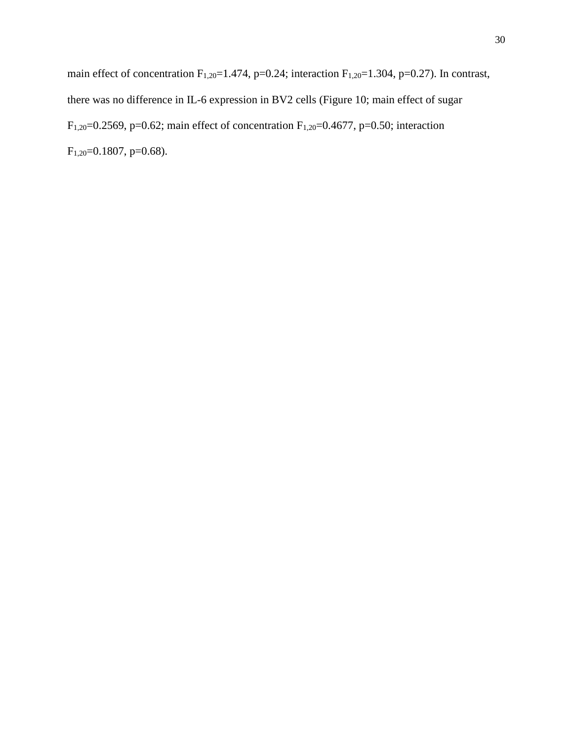main effect of concentration  $F_{1,20}=1.474$ , p=0.24; interaction  $F_{1,20}=1.304$ , p=0.27). In contrast, there was no difference in IL-6 expression in BV2 cells (Figure 10; main effect of sugar F<sub>1,20</sub>=0.2569, p=0.62; main effect of concentration F<sub>1,20</sub>=0.4677, p=0.50; interaction F<sub>1,20</sub>=0.1807, p=0.68).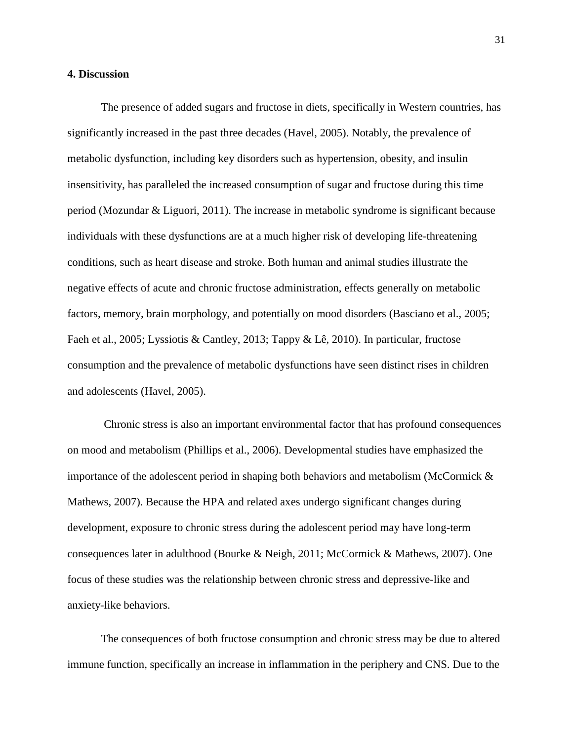## **4. Discussion**

The presence of added sugars and fructose in diets, specifically in Western countries, has significantly increased in the past three decades (Havel, 2005). Notably, the prevalence of metabolic dysfunction, including key disorders such as hypertension, obesity, and insulin insensitivity, has paralleled the increased consumption of sugar and fructose during this time period (Mozundar & Liguori, 2011). The increase in metabolic syndrome is significant because individuals with these dysfunctions are at a much higher risk of developing life-threatening conditions, such as heart disease and stroke. Both human and animal studies illustrate the negative effects of acute and chronic fructose administration, effects generally on metabolic factors, memory, brain morphology, and potentially on mood disorders (Basciano et al., 2005; Faeh et al., 2005; Lyssiotis & Cantley, 2013; Tappy & Lê, 2010). In particular, fructose consumption and the prevalence of metabolic dysfunctions have seen distinct rises in children and adolescents (Havel, 2005).

Chronic stress is also an important environmental factor that has profound consequences on mood and metabolism (Phillips et al., 2006). Developmental studies have emphasized the importance of the adolescent period in shaping both behaviors and metabolism (McCormick  $\&$ Mathews, 2007). Because the HPA and related axes undergo significant changes during development, exposure to chronic stress during the adolescent period may have long-term consequences later in adulthood (Bourke & Neigh, 2011; McCormick & Mathews, 2007). One focus of these studies was the relationship between chronic stress and depressive-like and anxiety-like behaviors.

The consequences of both fructose consumption and chronic stress may be due to altered immune function, specifically an increase in inflammation in the periphery and CNS. Due to the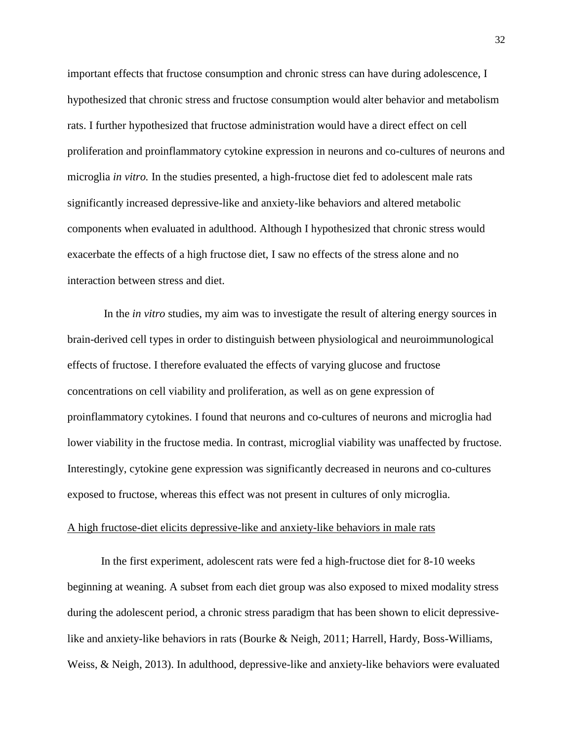important effects that fructose consumption and chronic stress can have during adolescence, I hypothesized that chronic stress and fructose consumption would alter behavior and metabolism rats. I further hypothesized that fructose administration would have a direct effect on cell proliferation and proinflammatory cytokine expression in neurons and co-cultures of neurons and microglia *in vitro.* In the studies presented, a high-fructose diet fed to adolescent male rats significantly increased depressive-like and anxiety-like behaviors and altered metabolic components when evaluated in adulthood. Although I hypothesized that chronic stress would exacerbate the effects of a high fructose diet, I saw no effects of the stress alone and no interaction between stress and diet.

In the *in vitro* studies, my aim was to investigate the result of altering energy sources in brain-derived cell types in order to distinguish between physiological and neuroimmunological effects of fructose. I therefore evaluated the effects of varying glucose and fructose concentrations on cell viability and proliferation, as well as on gene expression of proinflammatory cytokines. I found that neurons and co-cultures of neurons and microglia had lower viability in the fructose media. In contrast, microglial viability was unaffected by fructose. Interestingly, cytokine gene expression was significantly decreased in neurons and co-cultures exposed to fructose, whereas this effect was not present in cultures of only microglia.

#### A high fructose-diet elicits depressive-like and anxiety-like behaviors in male rats

In the first experiment, adolescent rats were fed a high-fructose diet for 8-10 weeks beginning at weaning. A subset from each diet group was also exposed to mixed modality stress during the adolescent period, a chronic stress paradigm that has been shown to elicit depressivelike and anxiety-like behaviors in rats (Bourke & Neigh, 2011; Harrell, Hardy, Boss-Williams, Weiss, & Neigh, 2013). In adulthood, depressive-like and anxiety-like behaviors were evaluated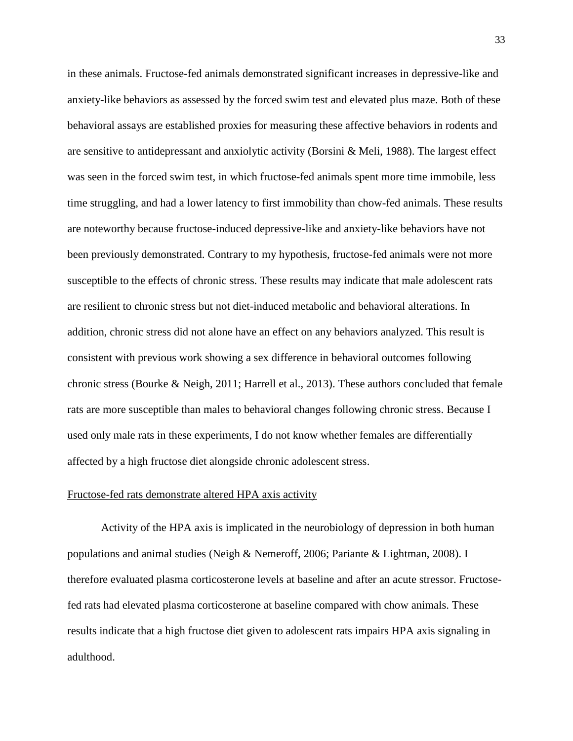in these animals. Fructose-fed animals demonstrated significant increases in depressive-like and anxiety-like behaviors as assessed by the forced swim test and elevated plus maze. Both of these behavioral assays are established proxies for measuring these affective behaviors in rodents and are sensitive to antidepressant and anxiolytic activity (Borsini & Meli, 1988). The largest effect was seen in the forced swim test, in which fructose-fed animals spent more time immobile, less time struggling, and had a lower latency to first immobility than chow-fed animals. These results are noteworthy because fructose-induced depressive-like and anxiety-like behaviors have not been previously demonstrated. Contrary to my hypothesis, fructose-fed animals were not more susceptible to the effects of chronic stress. These results may indicate that male adolescent rats are resilient to chronic stress but not diet-induced metabolic and behavioral alterations. In addition, chronic stress did not alone have an effect on any behaviors analyzed. This result is consistent with previous work showing a sex difference in behavioral outcomes following chronic stress (Bourke & Neigh, 2011; Harrell et al., 2013). These authors concluded that female rats are more susceptible than males to behavioral changes following chronic stress. Because I used only male rats in these experiments, I do not know whether females are differentially affected by a high fructose diet alongside chronic adolescent stress.

#### Fructose-fed rats demonstrate altered HPA axis activity

Activity of the HPA axis is implicated in the neurobiology of depression in both human populations and animal studies (Neigh & Nemeroff, 2006; Pariante & Lightman, 2008). I therefore evaluated plasma corticosterone levels at baseline and after an acute stressor. Fructosefed rats had elevated plasma corticosterone at baseline compared with chow animals. These results indicate that a high fructose diet given to adolescent rats impairs HPA axis signaling in adulthood.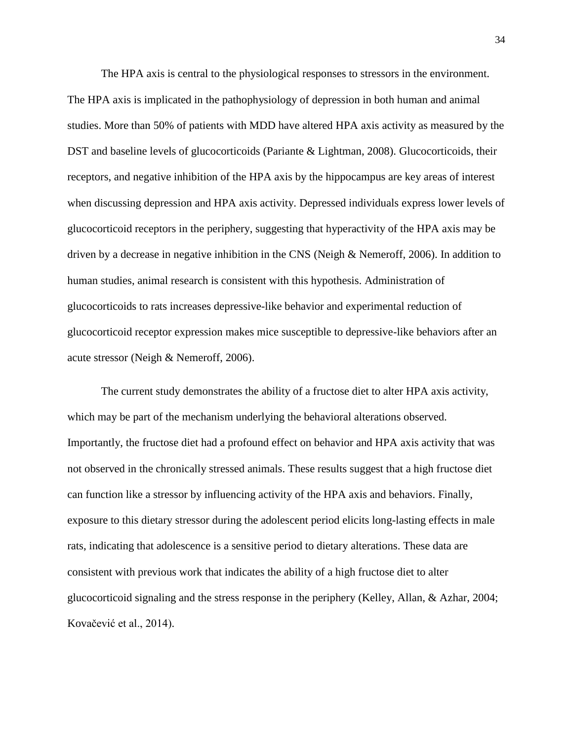The HPA axis is central to the physiological responses to stressors in the environment. The HPA axis is implicated in the pathophysiology of depression in both human and animal studies. More than 50% of patients with MDD have altered HPA axis activity as measured by the DST and baseline levels of glucocorticoids (Pariante & Lightman, 2008). Glucocorticoids, their receptors, and negative inhibition of the HPA axis by the hippocampus are key areas of interest when discussing depression and HPA axis activity. Depressed individuals express lower levels of glucocorticoid receptors in the periphery, suggesting that hyperactivity of the HPA axis may be driven by a decrease in negative inhibition in the CNS (Neigh & Nemeroff, 2006). In addition to human studies, animal research is consistent with this hypothesis. Administration of glucocorticoids to rats increases depressive-like behavior and experimental reduction of glucocorticoid receptor expression makes mice susceptible to depressive-like behaviors after an acute stressor (Neigh & Nemeroff, 2006).

The current study demonstrates the ability of a fructose diet to alter HPA axis activity, which may be part of the mechanism underlying the behavioral alterations observed. Importantly, the fructose diet had a profound effect on behavior and HPA axis activity that was not observed in the chronically stressed animals. These results suggest that a high fructose diet can function like a stressor by influencing activity of the HPA axis and behaviors. Finally, exposure to this dietary stressor during the adolescent period elicits long-lasting effects in male rats, indicating that adolescence is a sensitive period to dietary alterations. These data are consistent with previous work that indicates the ability of a high fructose diet to alter glucocorticoid signaling and the stress response in the periphery (Kelley, Allan, & Azhar, 2004; Kovačević et al., 2014).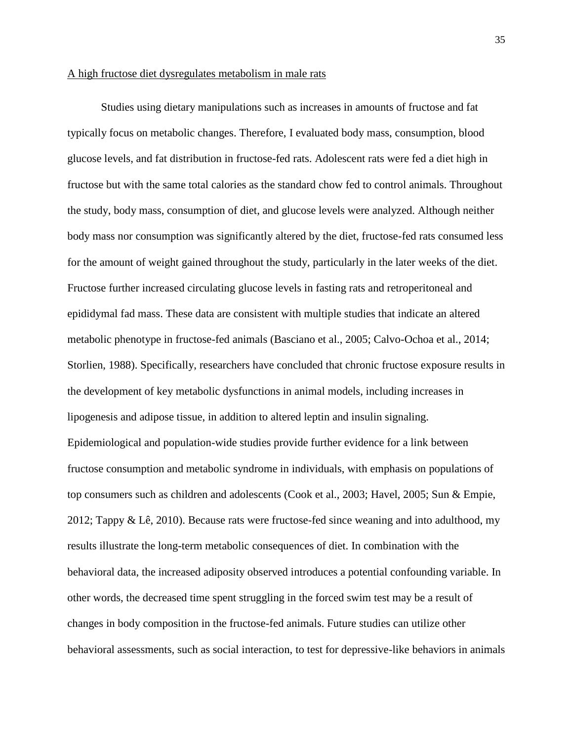## A high fructose diet dysregulates metabolism in male rats

Studies using dietary manipulations such as increases in amounts of fructose and fat typically focus on metabolic changes. Therefore, I evaluated body mass, consumption, blood glucose levels, and fat distribution in fructose-fed rats. Adolescent rats were fed a diet high in fructose but with the same total calories as the standard chow fed to control animals. Throughout the study, body mass, consumption of diet, and glucose levels were analyzed. Although neither body mass nor consumption was significantly altered by the diet, fructose-fed rats consumed less for the amount of weight gained throughout the study, particularly in the later weeks of the diet. Fructose further increased circulating glucose levels in fasting rats and retroperitoneal and epididymal fad mass. These data are consistent with multiple studies that indicate an altered metabolic phenotype in fructose-fed animals (Basciano et al., 2005; Calvo-Ochoa et al., 2014; Storlien, 1988). Specifically, researchers have concluded that chronic fructose exposure results in the development of key metabolic dysfunctions in animal models, including increases in lipogenesis and adipose tissue, in addition to altered leptin and insulin signaling. Epidemiological and population-wide studies provide further evidence for a link between fructose consumption and metabolic syndrome in individuals, with emphasis on populations of top consumers such as children and adolescents (Cook et al., 2003; Havel, 2005; Sun & Empie, 2012; Tappy & Lê, 2010). Because rats were fructose-fed since weaning and into adulthood, my results illustrate the long-term metabolic consequences of diet. In combination with the behavioral data, the increased adiposity observed introduces a potential confounding variable. In other words, the decreased time spent struggling in the forced swim test may be a result of changes in body composition in the fructose-fed animals. Future studies can utilize other behavioral assessments, such as social interaction, to test for depressive-like behaviors in animals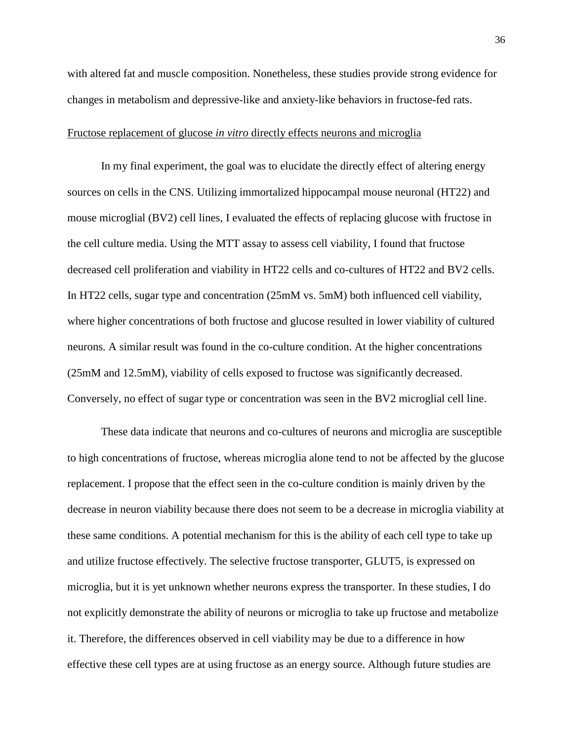with altered fat and muscle composition. Nonetheless, these studies provide strong evidence for changes in metabolism and depressive-like and anxiety-like behaviors in fructose-fed rats.

## Fructose replacement of glucose *in vitro* directly effects neurons and microglia

In my final experiment, the goal was to elucidate the directly effect of altering energy sources on cells in the CNS. Utilizing immortalized hippocampal mouse neuronal (HT22) and mouse microglial (BV2) cell lines, I evaluated the effects of replacing glucose with fructose in the cell culture media. Using the MTT assay to assess cell viability, I found that fructose decreased cell proliferation and viability in HT22 cells and co-cultures of HT22 and BV2 cells. In HT22 cells, sugar type and concentration (25mM vs. 5mM) both influenced cell viability, where higher concentrations of both fructose and glucose resulted in lower viability of cultured neurons. A similar result was found in the co-culture condition. At the higher concentrations (25mM and 12.5mM), viability of cells exposed to fructose was significantly decreased. Conversely, no effect of sugar type or concentration was seen in the BV2 microglial cell line.

These data indicate that neurons and co-cultures of neurons and microglia are susceptible to high concentrations of fructose, whereas microglia alone tend to not be affected by the glucose replacement. I propose that the effect seen in the co-culture condition is mainly driven by the decrease in neuron viability because there does not seem to be a decrease in microglia viability at these same conditions. A potential mechanism for this is the ability of each cell type to take up and utilize fructose effectively. The selective fructose transporter, GLUT5, is expressed on microglia, but it is yet unknown whether neurons express the transporter. In these studies, I do not explicitly demonstrate the ability of neurons or microglia to take up fructose and metabolize it. Therefore, the differences observed in cell viability may be due to a difference in how effective these cell types are at using fructose as an energy source. Although future studies are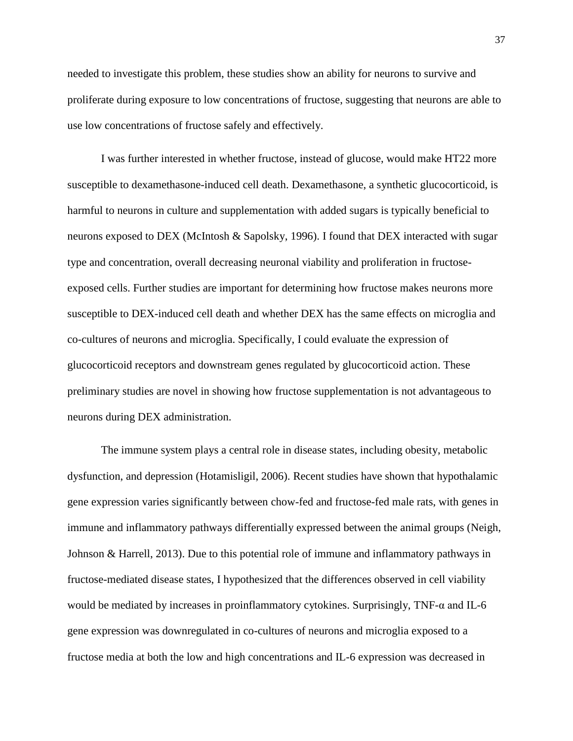needed to investigate this problem, these studies show an ability for neurons to survive and proliferate during exposure to low concentrations of fructose, suggesting that neurons are able to use low concentrations of fructose safely and effectively.

I was further interested in whether fructose, instead of glucose, would make HT22 more susceptible to dexamethasone-induced cell death. Dexamethasone, a synthetic glucocorticoid, is harmful to neurons in culture and supplementation with added sugars is typically beneficial to neurons exposed to DEX (McIntosh & Sapolsky, 1996). I found that DEX interacted with sugar type and concentration, overall decreasing neuronal viability and proliferation in fructoseexposed cells. Further studies are important for determining how fructose makes neurons more susceptible to DEX-induced cell death and whether DEX has the same effects on microglia and co-cultures of neurons and microglia. Specifically, I could evaluate the expression of glucocorticoid receptors and downstream genes regulated by glucocorticoid action. These preliminary studies are novel in showing how fructose supplementation is not advantageous to neurons during DEX administration.

The immune system plays a central role in disease states, including obesity, metabolic dysfunction, and depression (Hotamisligil, 2006). Recent studies have shown that hypothalamic gene expression varies significantly between chow-fed and fructose-fed male rats, with genes in immune and inflammatory pathways differentially expressed between the animal groups (Neigh, Johnson & Harrell, 2013). Due to this potential role of immune and inflammatory pathways in fructose-mediated disease states, I hypothesized that the differences observed in cell viability would be mediated by increases in proinflammatory cytokines. Surprisingly, TNF- $\alpha$  and IL-6 gene expression was downregulated in co-cultures of neurons and microglia exposed to a fructose media at both the low and high concentrations and IL-6 expression was decreased in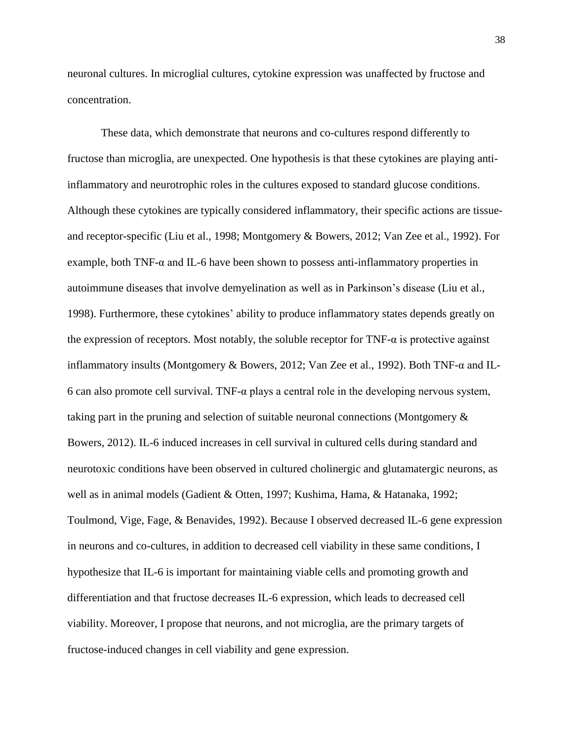neuronal cultures. In microglial cultures, cytokine expression was unaffected by fructose and concentration.

These data, which demonstrate that neurons and co-cultures respond differently to fructose than microglia, are unexpected. One hypothesis is that these cytokines are playing antiinflammatory and neurotrophic roles in the cultures exposed to standard glucose conditions. Although these cytokines are typically considered inflammatory, their specific actions are tissueand receptor-specific (Liu et al., 1998; Montgomery & Bowers, 2012; Van Zee et al., 1992). For example, both TNF-α and IL-6 have been shown to possess anti-inflammatory properties in autoimmune diseases that involve demyelination as well as in Parkinson's disease (Liu et al., 1998). Furthermore, these cytokines' ability to produce inflammatory states depends greatly on the expression of receptors. Most notably, the soluble receptor for  $TNF-\alpha$  is protective against inflammatory insults (Montgomery & Bowers, 2012; Van Zee et al., 1992). Both TNF-α and IL-6 can also promote cell survival. TNF-α plays a central role in the developing nervous system, taking part in the pruning and selection of suitable neuronal connections (Montgomery & Bowers, 2012). IL-6 induced increases in cell survival in cultured cells during standard and neurotoxic conditions have been observed in cultured cholinergic and glutamatergic neurons, as well as in animal models (Gadient & Otten, 1997; Kushima, Hama, & Hatanaka, 1992; Toulmond, Vige, Fage, & Benavides, 1992). Because I observed decreased IL-6 gene expression in neurons and co-cultures, in addition to decreased cell viability in these same conditions, I hypothesize that IL-6 is important for maintaining viable cells and promoting growth and differentiation and that fructose decreases IL-6 expression, which leads to decreased cell viability. Moreover, I propose that neurons, and not microglia, are the primary targets of fructose-induced changes in cell viability and gene expression.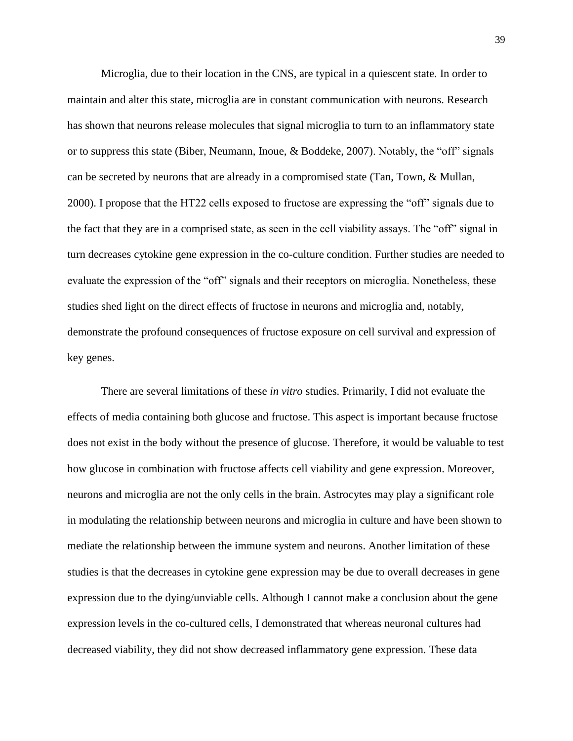Microglia, due to their location in the CNS, are typical in a quiescent state. In order to maintain and alter this state, microglia are in constant communication with neurons. Research has shown that neurons release molecules that signal microglia to turn to an inflammatory state or to suppress this state (Biber, Neumann, Inoue, & Boddeke, 2007). Notably, the "off" signals can be secreted by neurons that are already in a compromised state (Tan, Town, & Mullan, 2000). I propose that the HT22 cells exposed to fructose are expressing the "off" signals due to the fact that they are in a comprised state, as seen in the cell viability assays. The "off" signal in turn decreases cytokine gene expression in the co-culture condition. Further studies are needed to evaluate the expression of the "off" signals and their receptors on microglia. Nonetheless, these studies shed light on the direct effects of fructose in neurons and microglia and, notably, demonstrate the profound consequences of fructose exposure on cell survival and expression of key genes.

There are several limitations of these *in vitro* studies. Primarily, I did not evaluate the effects of media containing both glucose and fructose. This aspect is important because fructose does not exist in the body without the presence of glucose. Therefore, it would be valuable to test how glucose in combination with fructose affects cell viability and gene expression. Moreover, neurons and microglia are not the only cells in the brain. Astrocytes may play a significant role in modulating the relationship between neurons and microglia in culture and have been shown to mediate the relationship between the immune system and neurons. Another limitation of these studies is that the decreases in cytokine gene expression may be due to overall decreases in gene expression due to the dying/unviable cells. Although I cannot make a conclusion about the gene expression levels in the co-cultured cells, I demonstrated that whereas neuronal cultures had decreased viability, they did not show decreased inflammatory gene expression. These data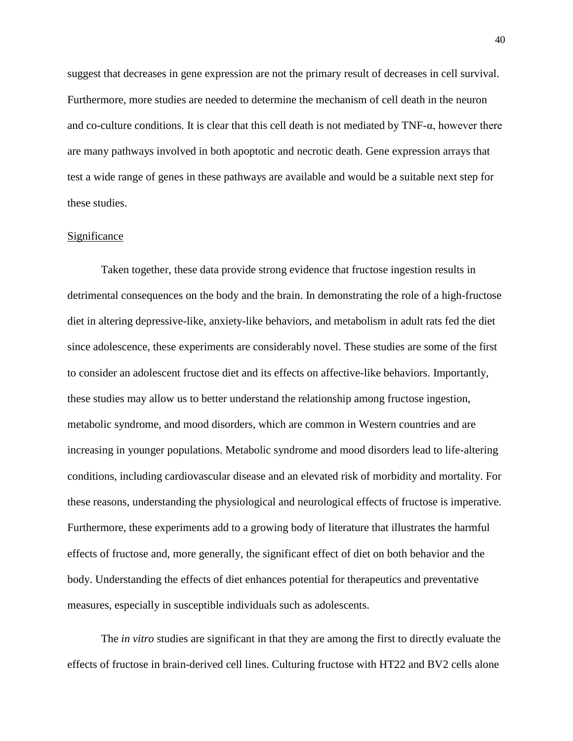suggest that decreases in gene expression are not the primary result of decreases in cell survival. Furthermore, more studies are needed to determine the mechanism of cell death in the neuron and co-culture conditions. It is clear that this cell death is not mediated by  $TNF-\alpha$ , however there are many pathways involved in both apoptotic and necrotic death. Gene expression arrays that test a wide range of genes in these pathways are available and would be a suitable next step for these studies.

#### **Significance**

Taken together, these data provide strong evidence that fructose ingestion results in detrimental consequences on the body and the brain. In demonstrating the role of a high-fructose diet in altering depressive-like, anxiety-like behaviors, and metabolism in adult rats fed the diet since adolescence, these experiments are considerably novel. These studies are some of the first to consider an adolescent fructose diet and its effects on affective-like behaviors. Importantly, these studies may allow us to better understand the relationship among fructose ingestion, metabolic syndrome, and mood disorders, which are common in Western countries and are increasing in younger populations. Metabolic syndrome and mood disorders lead to life-altering conditions, including cardiovascular disease and an elevated risk of morbidity and mortality. For these reasons, understanding the physiological and neurological effects of fructose is imperative. Furthermore, these experiments add to a growing body of literature that illustrates the harmful effects of fructose and, more generally, the significant effect of diet on both behavior and the body. Understanding the effects of diet enhances potential for therapeutics and preventative measures, especially in susceptible individuals such as adolescents.

The *in vitro* studies are significant in that they are among the first to directly evaluate the effects of fructose in brain-derived cell lines. Culturing fructose with HT22 and BV2 cells alone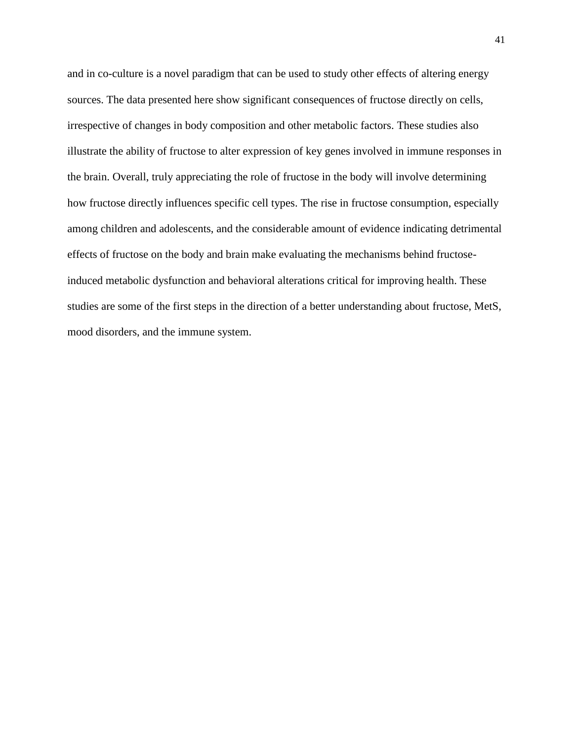and in co-culture is a novel paradigm that can be used to study other effects of altering energy sources. The data presented here show significant consequences of fructose directly on cells, irrespective of changes in body composition and other metabolic factors. These studies also illustrate the ability of fructose to alter expression of key genes involved in immune responses in the brain. Overall, truly appreciating the role of fructose in the body will involve determining how fructose directly influences specific cell types. The rise in fructose consumption, especially among children and adolescents, and the considerable amount of evidence indicating detrimental effects of fructose on the body and brain make evaluating the mechanisms behind fructoseinduced metabolic dysfunction and behavioral alterations critical for improving health. These studies are some of the first steps in the direction of a better understanding about fructose, MetS, mood disorders, and the immune system.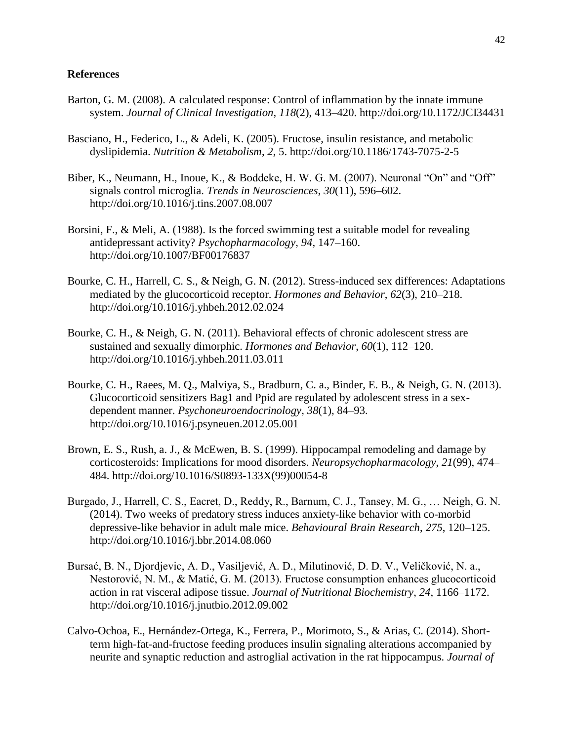## **References**

- Barton, G. M. (2008). A calculated response: Control of inflammation by the innate immune system. *Journal of Clinical Investigation*, *118*(2), 413–420. http://doi.org/10.1172/JCI34431
- Basciano, H., Federico, L., & Adeli, K. (2005). Fructose, insulin resistance, and metabolic dyslipidemia. *Nutrition & Metabolism*, *2*, 5. http://doi.org/10.1186/1743-7075-2-5
- Biber, K., Neumann, H., Inoue, K., & Boddeke, H. W. G. M. (2007). Neuronal "On" and "Off" signals control microglia. *Trends in Neurosciences*, *30*(11), 596–602. http://doi.org/10.1016/j.tins.2007.08.007
- Borsini, F., & Meli, A. (1988). Is the forced swimming test a suitable model for revealing antidepressant activity? *Psychopharmacology*, *94*, 147–160. http://doi.org/10.1007/BF00176837
- Bourke, C. H., Harrell, C. S., & Neigh, G. N. (2012). Stress-induced sex differences: Adaptations mediated by the glucocorticoid receptor. *Hormones and Behavior*, *62*(3), 210–218. http://doi.org/10.1016/j.yhbeh.2012.02.024
- Bourke, C. H., & Neigh, G. N. (2011). Behavioral effects of chronic adolescent stress are sustained and sexually dimorphic. *Hormones and Behavior*, *60*(1), 112–120. http://doi.org/10.1016/j.yhbeh.2011.03.011
- Bourke, C. H., Raees, M. Q., Malviya, S., Bradburn, C. a., Binder, E. B., & Neigh, G. N. (2013). Glucocorticoid sensitizers Bag1 and Ppid are regulated by adolescent stress in a sexdependent manner. *Psychoneuroendocrinology*, *38*(1), 84–93. http://doi.org/10.1016/j.psyneuen.2012.05.001
- Brown, E. S., Rush, a. J., & McEwen, B. S. (1999). Hippocampal remodeling and damage by corticosteroids: Implications for mood disorders. *Neuropsychopharmacology*, *21*(99), 474– 484. http://doi.org/10.1016/S0893-133X(99)00054-8
- Burgado, J., Harrell, C. S., Eacret, D., Reddy, R., Barnum, C. J., Tansey, M. G., … Neigh, G. N. (2014). Two weeks of predatory stress induces anxiety-like behavior with co-morbid depressive-like behavior in adult male mice. *Behavioural Brain Research*, *275*, 120–125. http://doi.org/10.1016/j.bbr.2014.08.060
- Bursać, B. N., Djordjevic, A. D., Vasiljević, A. D., Milutinović, D. D. V., Veličković, N. a., Nestorović, N. M., & Matić, G. M. (2013). Fructose consumption enhances glucocorticoid action in rat visceral adipose tissue. *Journal of Nutritional Biochemistry*, *24*, 1166–1172. http://doi.org/10.1016/j.jnutbio.2012.09.002
- Calvo-Ochoa, E., Hernández-Ortega, K., Ferrera, P., Morimoto, S., & Arias, C. (2014). Shortterm high-fat-and-fructose feeding produces insulin signaling alterations accompanied by neurite and synaptic reduction and astroglial activation in the rat hippocampus. *Journal of*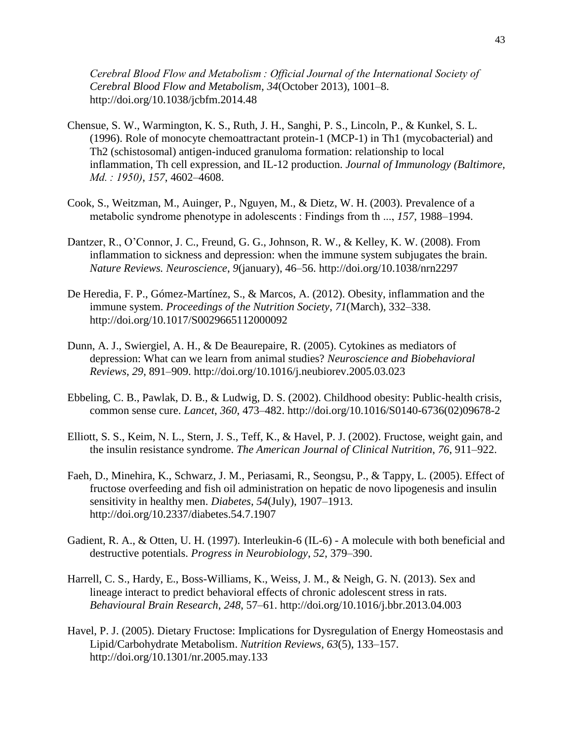*Cerebral Blood Flow and Metabolism : Official Journal of the International Society of Cerebral Blood Flow and Metabolism*, *34*(October 2013), 1001–8. http://doi.org/10.1038/jcbfm.2014.48

- Chensue, S. W., Warmington, K. S., Ruth, J. H., Sanghi, P. S., Lincoln, P., & Kunkel, S. L. (1996). Role of monocyte chemoattractant protein-1 (MCP-1) in Th1 (mycobacterial) and Th2 (schistosomal) antigen-induced granuloma formation: relationship to local inflammation, Th cell expression, and IL-12 production. *Journal of Immunology (Baltimore, Md. : 1950)*, *157*, 4602–4608.
- Cook, S., Weitzman, M., Auinger, P., Nguyen, M., & Dietz, W. H. (2003). Prevalence of a metabolic syndrome phenotype in adolescents : Findings from th ..., *157*, 1988–1994.
- Dantzer, R., O'Connor, J. C., Freund, G. G., Johnson, R. W., & Kelley, K. W. (2008). From inflammation to sickness and depression: when the immune system subjugates the brain. *Nature Reviews. Neuroscience*, *9*(january), 46–56. http://doi.org/10.1038/nrn2297
- De Heredia, F. P., Gómez-Martínez, S., & Marcos, A. (2012). Obesity, inflammation and the immune system. *Proceedings of the Nutrition Society*, *71*(March), 332–338. http://doi.org/10.1017/S0029665112000092
- Dunn, A. J., Swiergiel, A. H., & De Beaurepaire, R. (2005). Cytokines as mediators of depression: What can we learn from animal studies? *Neuroscience and Biobehavioral Reviews*, *29*, 891–909. http://doi.org/10.1016/j.neubiorev.2005.03.023
- Ebbeling, C. B., Pawlak, D. B., & Ludwig, D. S. (2002). Childhood obesity: Public-health crisis, common sense cure. *Lancet*, *360*, 473–482. http://doi.org/10.1016/S0140-6736(02)09678-2
- Elliott, S. S., Keim, N. L., Stern, J. S., Teff, K., & Havel, P. J. (2002). Fructose, weight gain, and the insulin resistance syndrome. *The American Journal of Clinical Nutrition*, *76*, 911–922.
- Faeh, D., Minehira, K., Schwarz, J. M., Periasami, R., Seongsu, P., & Tappy, L. (2005). Effect of fructose overfeeding and fish oil administration on hepatic de novo lipogenesis and insulin sensitivity in healthy men. *Diabetes*, *54*(July), 1907–1913. http://doi.org/10.2337/diabetes.54.7.1907
- Gadient, R. A., & Otten, U. H. (1997). Interleukin-6 (IL-6) A molecule with both beneficial and destructive potentials. *Progress in Neurobiology*, *52*, 379–390.
- Harrell, C. S., Hardy, E., Boss-Williams, K., Weiss, J. M., & Neigh, G. N. (2013). Sex and lineage interact to predict behavioral effects of chronic adolescent stress in rats. *Behavioural Brain Research*, *248*, 57–61. http://doi.org/10.1016/j.bbr.2013.04.003
- Havel, P. J. (2005). Dietary Fructose: Implications for Dysregulation of Energy Homeostasis and Lipid/Carbohydrate Metabolism. *Nutrition Reviews, 63*(5), 133–157. http://doi.org/10.1301/nr.2005.may.133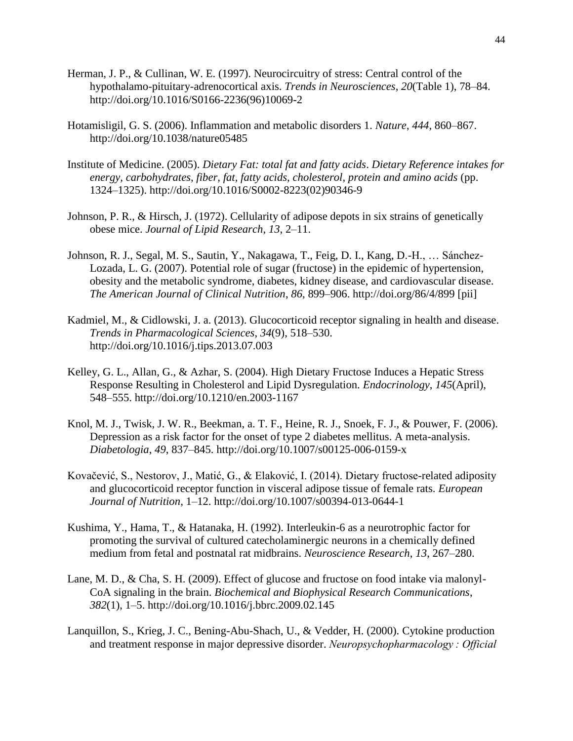- Herman, J. P., & Cullinan, W. E. (1997). Neurocircuitry of stress: Central control of the hypothalamo-pituitary-adrenocortical axis. *Trends in Neurosciences*, *20*(Table 1), 78–84. http://doi.org/10.1016/S0166-2236(96)10069-2
- Hotamisligil, G. S. (2006). Inflammation and metabolic disorders 1. *Nature*, *444*, 860–867. http://doi.org/10.1038/nature05485
- Institute of Medicine. (2005). *Dietary Fat: total fat and fatty acids*. *Dietary Reference intakes for energy, carbohydrates, fiber, fat, fatty acids, cholesterol, protein and amino acids* (pp. 1324–1325). http://doi.org/10.1016/S0002-8223(02)90346-9
- Johnson, P. R., & Hirsch, J. (1972). Cellularity of adipose depots in six strains of genetically obese mice. *Journal of Lipid Research*, *13*, 2–11.
- Johnson, R. J., Segal, M. S., Sautin, Y., Nakagawa, T., Feig, D. I., Kang, D.-H., … Sánchez-Lozada, L. G. (2007). Potential role of sugar (fructose) in the epidemic of hypertension, obesity and the metabolic syndrome, diabetes, kidney disease, and cardiovascular disease. *The American Journal of Clinical Nutrition*, *86*, 899–906. http://doi.org/86/4/899 [pii]
- Kadmiel, M., & Cidlowski, J. a. (2013). Glucocorticoid receptor signaling in health and disease. *Trends in Pharmacological Sciences*, *34*(9), 518–530. http://doi.org/10.1016/j.tips.2013.07.003
- Kelley, G. L., Allan, G., & Azhar, S. (2004). High Dietary Fructose Induces a Hepatic Stress Response Resulting in Cholesterol and Lipid Dysregulation. *Endocrinology*, *145*(April), 548–555. http://doi.org/10.1210/en.2003-1167
- Knol, M. J., Twisk, J. W. R., Beekman, a. T. F., Heine, R. J., Snoek, F. J., & Pouwer, F. (2006). Depression as a risk factor for the onset of type 2 diabetes mellitus. A meta-analysis. *Diabetologia*, *49*, 837–845. http://doi.org/10.1007/s00125-006-0159-x
- Kovačević, S., Nestorov, J., Matić, G., & Elaković, I. (2014). Dietary fructose-related adiposity and glucocorticoid receptor function in visceral adipose tissue of female rats. *European Journal of Nutrition*, 1–12. http://doi.org/10.1007/s00394-013-0644-1
- Kushima, Y., Hama, T., & Hatanaka, H. (1992). Interleukin-6 as a neurotrophic factor for promoting the survival of cultured catecholaminergic neurons in a chemically defined medium from fetal and postnatal rat midbrains. *Neuroscience Research*, *13*, 267–280.
- Lane, M. D., & Cha, S. H. (2009). Effect of glucose and fructose on food intake via malonyl-CoA signaling in the brain. *Biochemical and Biophysical Research Communications*, *382*(1), 1–5. http://doi.org/10.1016/j.bbrc.2009.02.145
- Lanquillon, S., Krieg, J. C., Bening-Abu-Shach, U., & Vedder, H. (2000). Cytokine production and treatment response in major depressive disorder. *Neuropsychopharmacology : Official*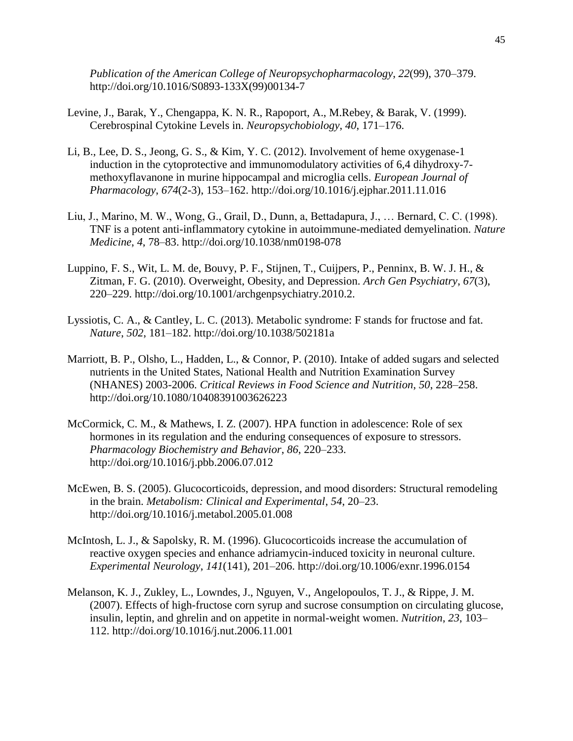*Publication of the American College of Neuropsychopharmacology*, *22*(99), 370–379. http://doi.org/10.1016/S0893-133X(99)00134-7

- Levine, J., Barak, Y., Chengappa, K. N. R., Rapoport, A., M.Rebey, & Barak, V. (1999). Cerebrospinal Cytokine Levels in. *Neuropsychobiology*, *40*, 171–176.
- Li, B., Lee, D. S., Jeong, G. S., & Kim, Y. C. (2012). Involvement of heme oxygenase-1 induction in the cytoprotective and immunomodulatory activities of 6,4 dihydroxy-7 methoxyflavanone in murine hippocampal and microglia cells. *European Journal of Pharmacology*, *674*(2-3), 153–162. http://doi.org/10.1016/j.ejphar.2011.11.016
- Liu, J., Marino, M. W., Wong, G., Grail, D., Dunn, a, Bettadapura, J., … Bernard, C. C. (1998). TNF is a potent anti-inflammatory cytokine in autoimmune-mediated demyelination. *Nature Medicine*, *4*, 78–83. http://doi.org/10.1038/nm0198-078
- Luppino, F. S., Wit, L. M. de, Bouvy, P. F., Stijnen, T., Cuijpers, P., Penninx, B. W. J. H., & Zitman, F. G. (2010). Overweight, Obesity, and Depression. *Arch Gen Psychiatry*, *67*(3), 220–229. http://doi.org/10.1001/archgenpsychiatry.2010.2.
- Lyssiotis, C. A., & Cantley, L. C. (2013). Metabolic syndrome: F stands for fructose and fat. *Nature*, *502*, 181–182. http://doi.org/10.1038/502181a
- Marriott, B. P., Olsho, L., Hadden, L., & Connor, P. (2010). Intake of added sugars and selected nutrients in the United States, National Health and Nutrition Examination Survey (NHANES) 2003-2006. *Critical Reviews in Food Science and Nutrition*, *50*, 228–258. http://doi.org/10.1080/10408391003626223
- McCormick, C. M., & Mathews, I. Z. (2007). HPA function in adolescence: Role of sex hormones in its regulation and the enduring consequences of exposure to stressors. *Pharmacology Biochemistry and Behavior*, *86*, 220–233. http://doi.org/10.1016/j.pbb.2006.07.012
- McEwen, B. S. (2005). Glucocorticoids, depression, and mood disorders: Structural remodeling in the brain. *Metabolism: Clinical and Experimental*, *54*, 20–23. http://doi.org/10.1016/j.metabol.2005.01.008
- McIntosh, L. J., & Sapolsky, R. M. (1996). Glucocorticoids increase the accumulation of reactive oxygen species and enhance adriamycin-induced toxicity in neuronal culture. *Experimental Neurology*, *141*(141), 201–206. http://doi.org/10.1006/exnr.1996.0154
- Melanson, K. J., Zukley, L., Lowndes, J., Nguyen, V., Angelopoulos, T. J., & Rippe, J. M. (2007). Effects of high-fructose corn syrup and sucrose consumption on circulating glucose, insulin, leptin, and ghrelin and on appetite in normal-weight women. *Nutrition*, *23*, 103– 112. http://doi.org/10.1016/j.nut.2006.11.001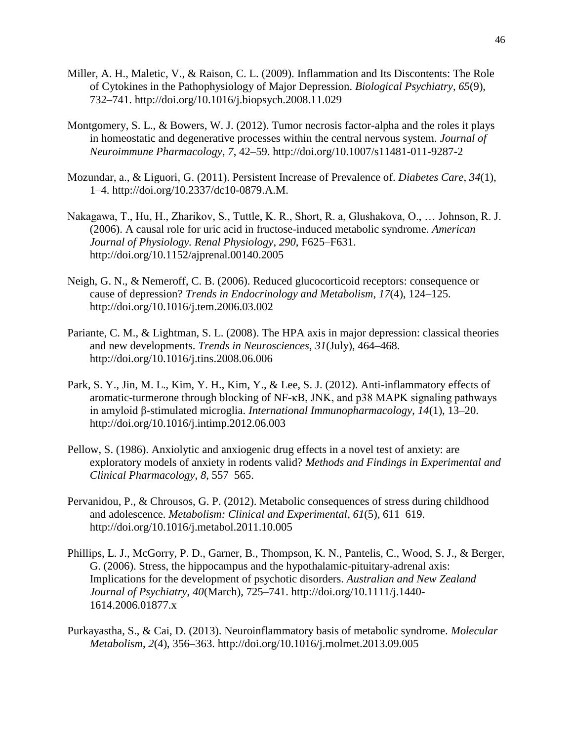- Miller, A. H., Maletic, V., & Raison, C. L. (2009). Inflammation and Its Discontents: The Role of Cytokines in the Pathophysiology of Major Depression. *Biological Psychiatry*, *65*(9), 732–741. http://doi.org/10.1016/j.biopsych.2008.11.029
- Montgomery, S. L., & Bowers, W. J. (2012). Tumor necrosis factor-alpha and the roles it plays in homeostatic and degenerative processes within the central nervous system. *Journal of Neuroimmune Pharmacology*, *7*, 42–59. http://doi.org/10.1007/s11481-011-9287-2
- Mozundar, a., & Liguori, G. (2011). Persistent Increase of Prevalence of. *Diabetes Care*, *34*(1), 1–4. http://doi.org/10.2337/dc10-0879.A.M.
- Nakagawa, T., Hu, H., Zharikov, S., Tuttle, K. R., Short, R. a, Glushakova, O., … Johnson, R. J. (2006). A causal role for uric acid in fructose-induced metabolic syndrome. *American Journal of Physiology. Renal Physiology*, *290*, F625–F631. http://doi.org/10.1152/ajprenal.00140.2005
- Neigh, G. N., & Nemeroff, C. B. (2006). Reduced glucocorticoid receptors: consequence or cause of depression? *Trends in Endocrinology and Metabolism*, *17*(4), 124–125. http://doi.org/10.1016/j.tem.2006.03.002
- Pariante, C. M., & Lightman, S. L. (2008). The HPA axis in major depression: classical theories and new developments. *Trends in Neurosciences*, *31*(July), 464–468. http://doi.org/10.1016/j.tins.2008.06.006
- Park, S. Y., Jin, M. L., Kim, Y. H., Kim, Y., & Lee, S. J. (2012). Anti-inflammatory effects of aromatic-turmerone through blocking of NF-κB, JNK, and p38 MAPK signaling pathways in amyloid β-stimulated microglia. *International Immunopharmacology*, *14*(1), 13–20. http://doi.org/10.1016/j.intimp.2012.06.003
- Pellow, S. (1986). Anxiolytic and anxiogenic drug effects in a novel test of anxiety: are exploratory models of anxiety in rodents valid? *Methods and Findings in Experimental and Clinical Pharmacology*, *8*, 557–565.
- Pervanidou, P., & Chrousos, G. P. (2012). Metabolic consequences of stress during childhood and adolescence. *Metabolism: Clinical and Experimental*, *61*(5), 611–619. http://doi.org/10.1016/j.metabol.2011.10.005
- Phillips, L. J., McGorry, P. D., Garner, B., Thompson, K. N., Pantelis, C., Wood, S. J., & Berger, G. (2006). Stress, the hippocampus and the hypothalamic-pituitary-adrenal axis: Implications for the development of psychotic disorders. *Australian and New Zealand Journal of Psychiatry*, *40*(March), 725–741. http://doi.org/10.1111/j.1440- 1614.2006.01877.x
- Purkayastha, S., & Cai, D. (2013). Neuroinflammatory basis of metabolic syndrome. *Molecular Metabolism*, *2*(4), 356–363. http://doi.org/10.1016/j.molmet.2013.09.005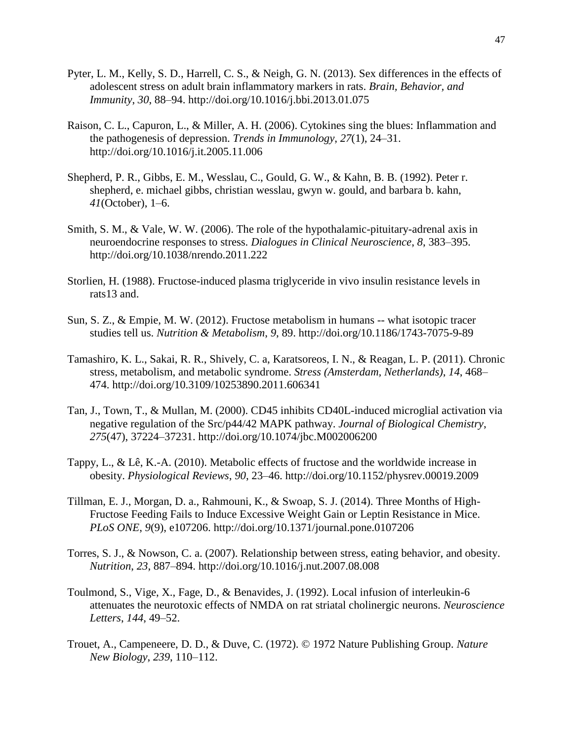- Pyter, L. M., Kelly, S. D., Harrell, C. S., & Neigh, G. N. (2013). Sex differences in the effects of adolescent stress on adult brain inflammatory markers in rats. *Brain, Behavior, and Immunity*, *30*, 88–94. http://doi.org/10.1016/j.bbi.2013.01.075
- Raison, C. L., Capuron, L., & Miller, A. H. (2006). Cytokines sing the blues: Inflammation and the pathogenesis of depression. *Trends in Immunology*, *27*(1), 24–31. http://doi.org/10.1016/j.it.2005.11.006
- Shepherd, P. R., Gibbs, E. M., Wesslau, C., Gould, G. W., & Kahn, B. B. (1992). Peter r. shepherd, e. michael gibbs, christian wesslau, gwyn w. gould, and barbara b. kahn, *41*(October), 1–6.
- Smith, S. M., & Vale, W. W. (2006). The role of the hypothalamic-pituitary-adrenal axis in neuroendocrine responses to stress. *Dialogues in Clinical Neuroscience*, *8*, 383–395. http://doi.org/10.1038/nrendo.2011.222
- Storlien, H. (1988). Fructose-induced plasma triglyceride in vivo insulin resistance levels in rats13 and.
- Sun, S. Z., & Empie, M. W. (2012). Fructose metabolism in humans -- what isotopic tracer studies tell us. *Nutrition & Metabolism*, *9*, 89. http://doi.org/10.1186/1743-7075-9-89
- Tamashiro, K. L., Sakai, R. R., Shively, C. a, Karatsoreos, I. N., & Reagan, L. P. (2011). Chronic stress, metabolism, and metabolic syndrome. *Stress (Amsterdam, Netherlands)*, *14*, 468– 474. http://doi.org/10.3109/10253890.2011.606341
- Tan, J., Town, T., & Mullan, M. (2000). CD45 inhibits CD40L-induced microglial activation via negative regulation of the Src/p44/42 MAPK pathway. *Journal of Biological Chemistry*, *275*(47), 37224–37231. http://doi.org/10.1074/jbc.M002006200
- Tappy, L., & Lê, K.-A. (2010). Metabolic effects of fructose and the worldwide increase in obesity. *Physiological Reviews*, *90*, 23–46. http://doi.org/10.1152/physrev.00019.2009
- Tillman, E. J., Morgan, D. a., Rahmouni, K., & Swoap, S. J. (2014). Three Months of High-Fructose Feeding Fails to Induce Excessive Weight Gain or Leptin Resistance in Mice. *PLoS ONE*, *9*(9), e107206. http://doi.org/10.1371/journal.pone.0107206
- Torres, S. J., & Nowson, C. a. (2007). Relationship between stress, eating behavior, and obesity. *Nutrition*, *23*, 887–894. http://doi.org/10.1016/j.nut.2007.08.008
- Toulmond, S., Vige, X., Fage, D., & Benavides, J. (1992). Local infusion of interleukin-6 attenuates the neurotoxic effects of NMDA on rat striatal cholinergic neurons. *Neuroscience Letters*, *144*, 49–52.
- Trouet, A., Campeneere, D. D., & Duve, C. (1972). © 1972 Nature Publishing Group. *Nature New Biology*, *239*, 110–112.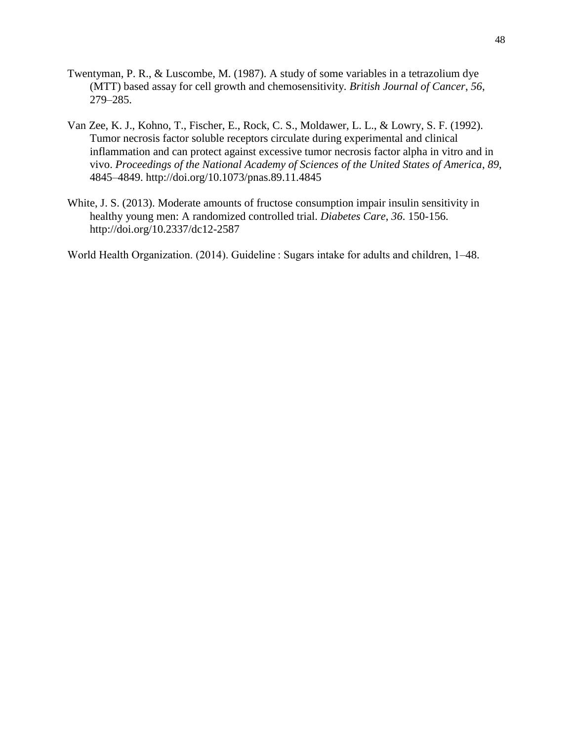- Twentyman, P. R., & Luscombe, M. (1987). A study of some variables in a tetrazolium dye (MTT) based assay for cell growth and chemosensitivity. *British Journal of Cancer*, *56*, 279–285.
- Van Zee, K. J., Kohno, T., Fischer, E., Rock, C. S., Moldawer, L. L., & Lowry, S. F. (1992). Tumor necrosis factor soluble receptors circulate during experimental and clinical inflammation and can protect against excessive tumor necrosis factor alpha in vitro and in vivo. *Proceedings of the National Academy of Sciences of the United States of America*, *89*, 4845–4849. http://doi.org/10.1073/pnas.89.11.4845
- White, J. S. (2013). Moderate amounts of fructose consumption impair insulin sensitivity in healthy young men: A randomized controlled trial. *Diabetes Care*, *36*. 150-156. http://doi.org/10.2337/dc12-2587

World Health Organization. (2014). Guideline : Sugars intake for adults and children, 1–48.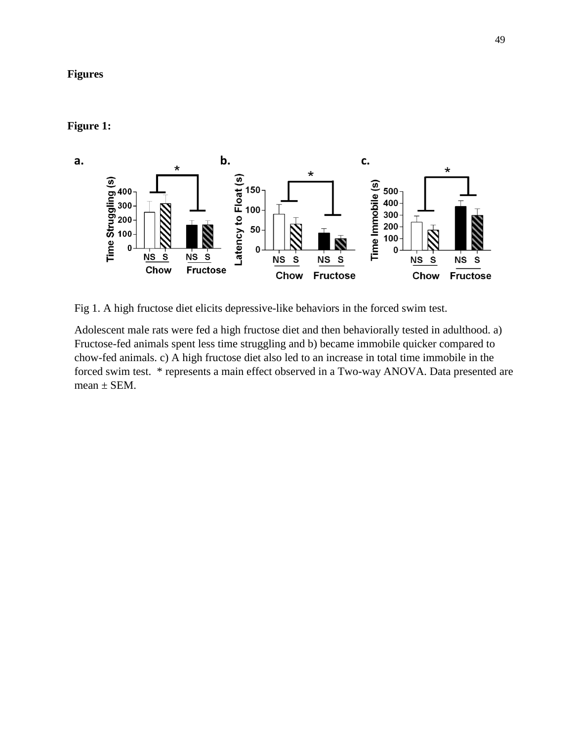# **Figures**

# **Figure 1:**



Fig 1. A high fructose diet elicits depressive-like behaviors in the forced swim test.

Adolescent male rats were fed a high fructose diet and then behaviorally tested in adulthood. a) Fructose-fed animals spent less time struggling and b) became immobile quicker compared to chow-fed animals. c) A high fructose diet also led to an increase in total time immobile in the forced swim test. \* represents a main effect observed in a Two-way ANOVA. Data presented are  $mean \pm SEM$ .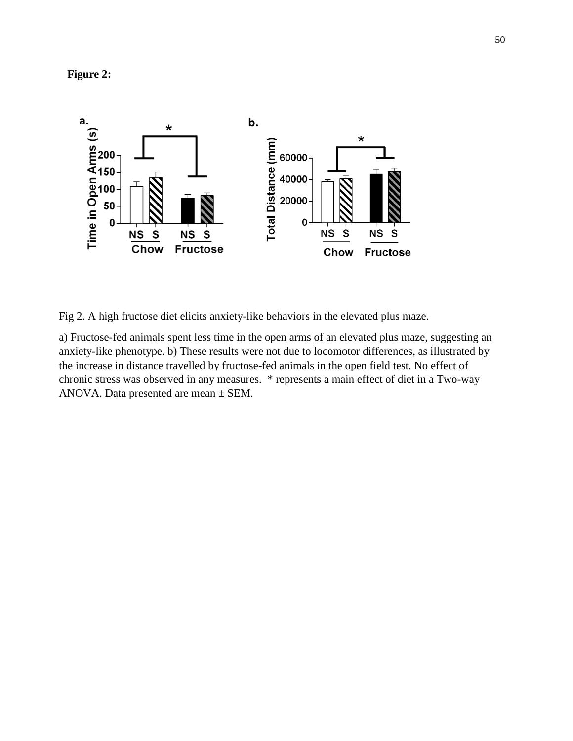**Figure 2:**



Fig 2. A high fructose diet elicits anxiety-like behaviors in the elevated plus maze.

a) Fructose-fed animals spent less time in the open arms of an elevated plus maze, suggesting an anxiety-like phenotype. b) These results were not due to locomotor differences, as illustrated by the increase in distance travelled by fructose-fed animals in the open field test. No effect of chronic stress was observed in any measures. \* represents a main effect of diet in a Two-way ANOVA. Data presented are mean  $\pm$  SEM.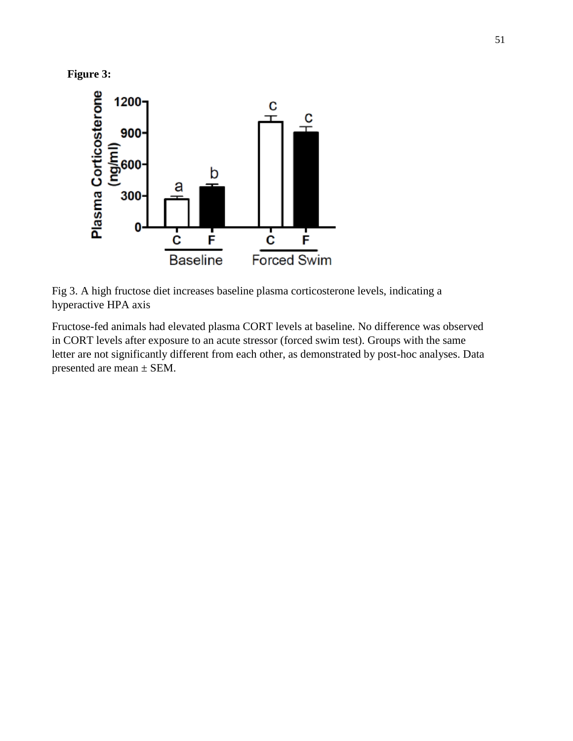



Fig 3. A high fructose diet increases baseline plasma corticosterone levels, indicating a hyperactive HPA axis

Fructose-fed animals had elevated plasma CORT levels at baseline. No difference was observed in CORT levels after exposure to an acute stressor (forced swim test). Groups with the same letter are not significantly different from each other, as demonstrated by post-hoc analyses. Data presented are mean ± SEM.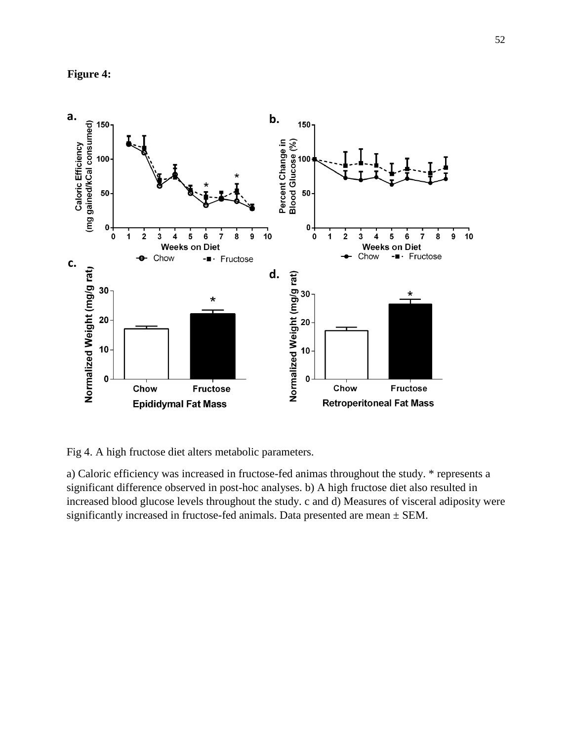



Fig 4. A high fructose diet alters metabolic parameters.

a) Caloric efficiency was increased in fructose-fed animas throughout the study. \* represents a significant difference observed in post-hoc analyses. b) A high fructose diet also resulted in increased blood glucose levels throughout the study. c and d) Measures of visceral adiposity were significantly increased in fructose-fed animals. Data presented are mean ± SEM.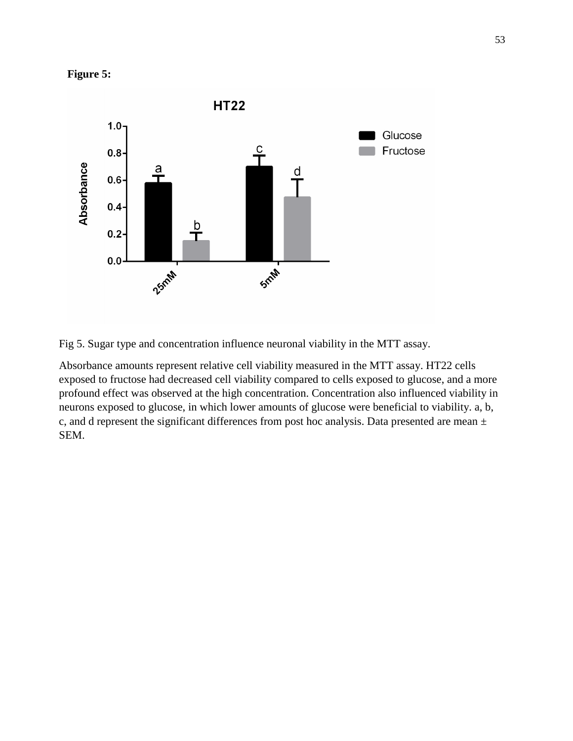



Fig 5. Sugar type and concentration influence neuronal viability in the MTT assay.

Absorbance amounts represent relative cell viability measured in the MTT assay. HT22 cells exposed to fructose had decreased cell viability compared to cells exposed to glucose, and a more profound effect was observed at the high concentration. Concentration also influenced viability in neurons exposed to glucose, in which lower amounts of glucose were beneficial to viability. a, b, c, and d represent the significant differences from post hoc analysis. Data presented are mean ± SEM.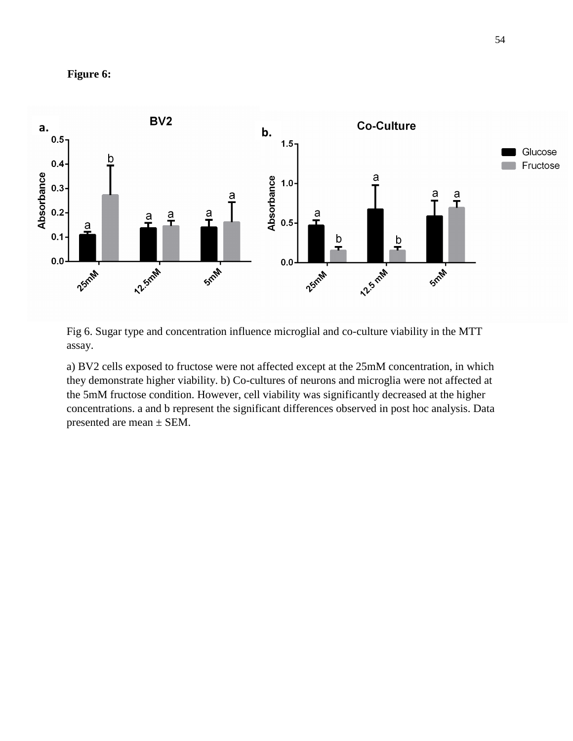



Fig 6. Sugar type and concentration influence microglial and co-culture viability in the MTT assay.

a) BV2 cells exposed to fructose were not affected except at the 25mM concentration, in which they demonstrate higher viability. b) Co-cultures of neurons and microglia were not affected at the 5mM fructose condition. However, cell viability was significantly decreased at the higher concentrations. a and b represent the significant differences observed in post hoc analysis. Data presented are mean ± SEM.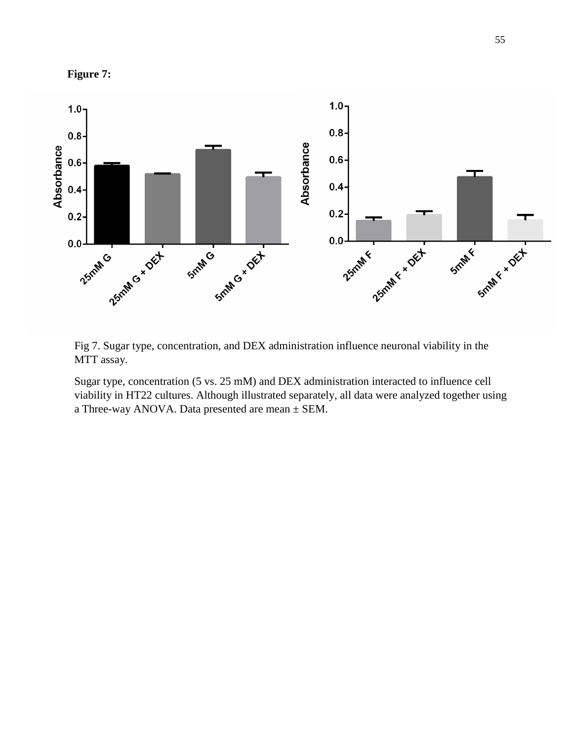

Fig 7. Sugar type, concentration, and DEX administration influence neuronal viability in the MTT assay.

Sugar type, concentration (5 vs. 25 mM) and DEX administration interacted to influence cell viability in HT22 cultures. Although illustrated separately, all data were analyzed together using a Three-way ANOVA. Data presented are mean  $\pm$  SEM.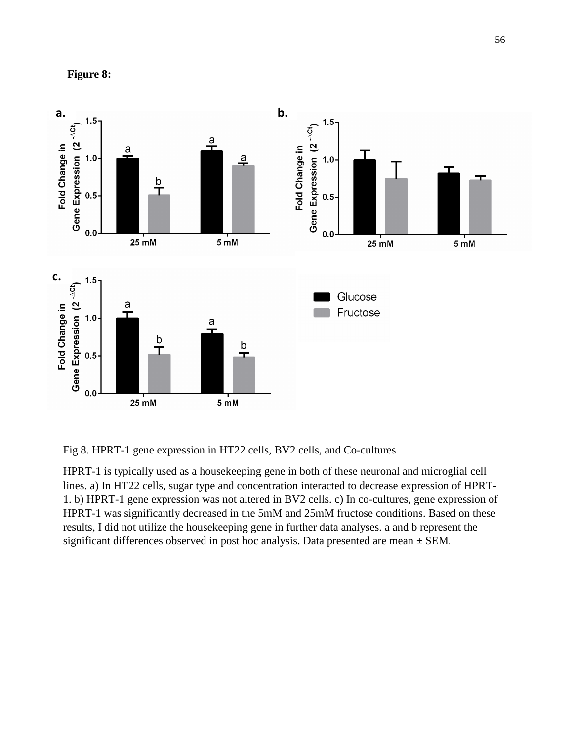



Fig 8. HPRT-1 gene expression in HT22 cells, BV2 cells, and Co-cultures

HPRT-1 is typically used as a housekeeping gene in both of these neuronal and microglial cell lines. a) In HT22 cells, sugar type and concentration interacted to decrease expression of HPRT-1. b) HPRT-1 gene expression was not altered in BV2 cells. c) In co-cultures, gene expression of HPRT-1 was significantly decreased in the 5mM and 25mM fructose conditions. Based on these results, I did not utilize the housekeeping gene in further data analyses. a and b represent the significant differences observed in post hoc analysis. Data presented are mean  $\pm$  SEM.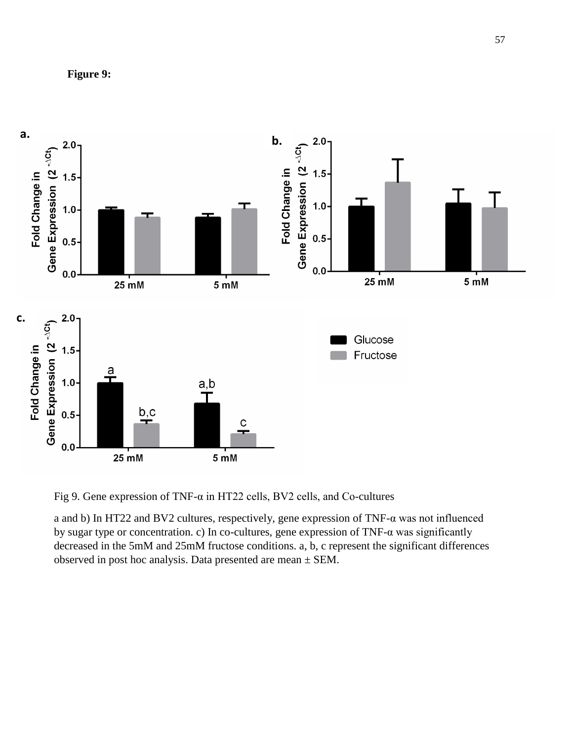



Fig 9. Gene expression of TNF-α in HT22 cells, BV2 cells, and Co-cultures

a and b) In HT22 and BV2 cultures, respectively, gene expression of TNF-α was not influenced by sugar type or concentration. c) In co-cultures, gene expression of TNF-α was significantly decreased in the 5mM and 25mM fructose conditions. a, b, c represent the significant differences observed in post hoc analysis. Data presented are mean ± SEM.